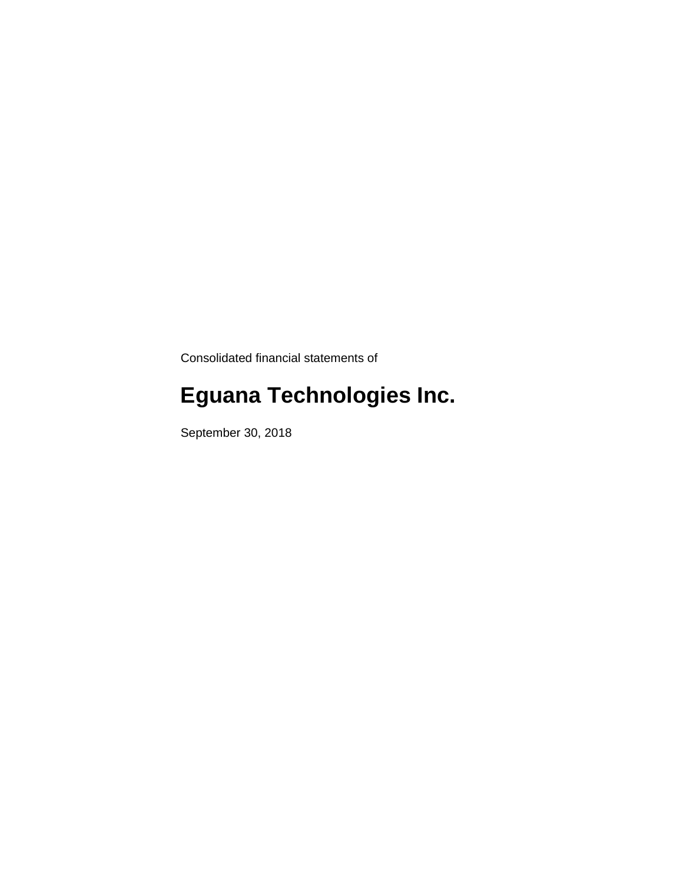Consolidated financial statements of

# **Eguana Technologies Inc.**

September 30, 2018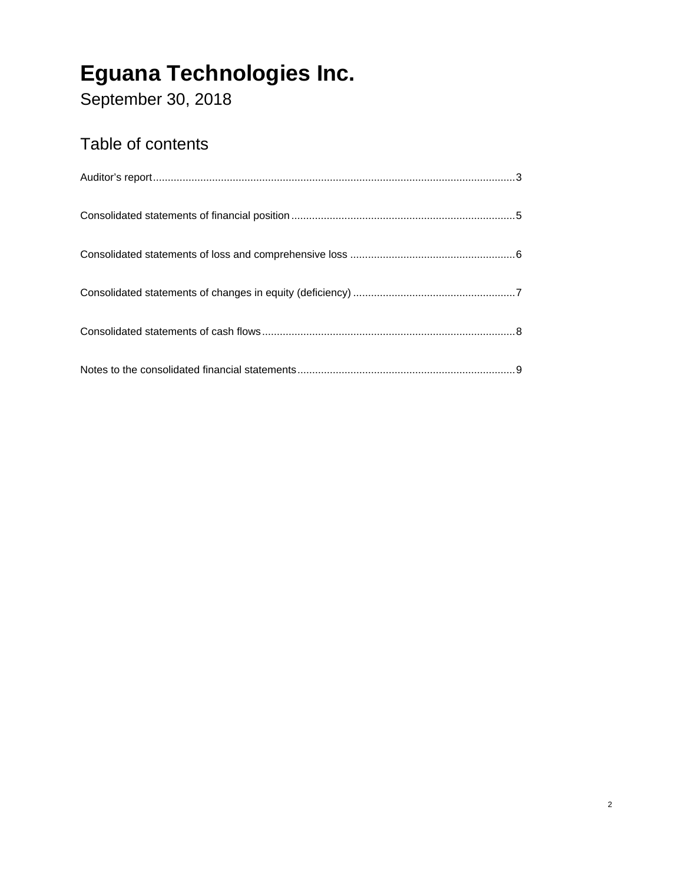September 30, 2018

### Table of contents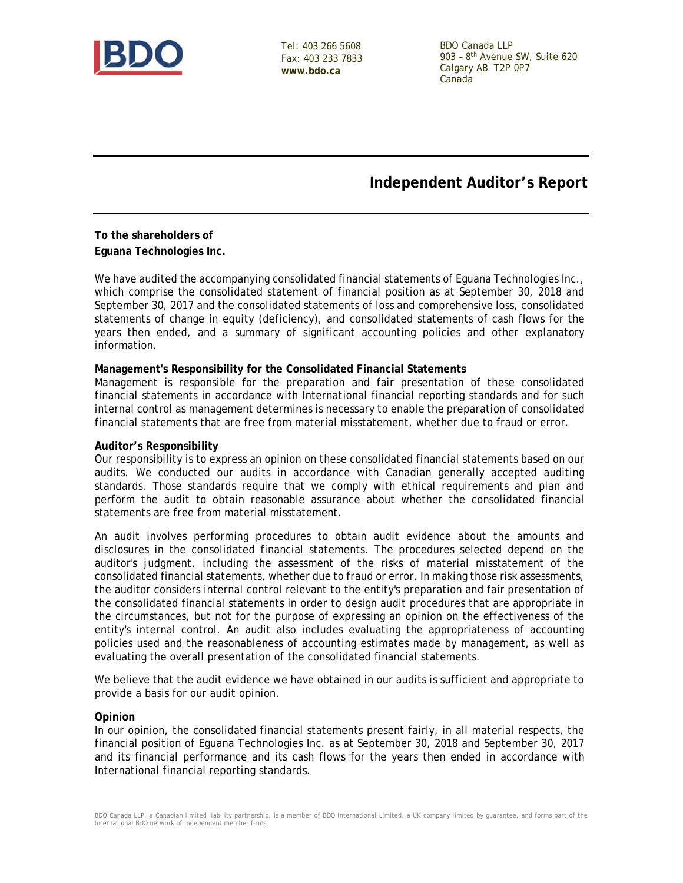

Tel: 403 266 5608 Fax: 403 233 7833 **www.bdo.ca**

BDO Canada LLP 903 – 8th Avenue SW, Suite 620 Calgary AB T2P 0P7 Canada

### **Independent Auditor's Report**

### **To the shareholders of Eguana Technologies Inc.**

We have audited the accompanying consolidated financial statements of Equana Technologies Inc., which comprise the consolidated statement of financial position as at September 30, 2018 and September 30, 2017 and the consolidated statements of loss and comprehensive loss, consolidated statements of change in equity (deficiency), and consolidated statements of cash flows for the years then ended, and a summary of significant accounting policies and other explanatory information.

### **Management's Responsibility for the Consolidated Financial Statements**

Management is responsible for the preparation and fair presentation of these consolidated financial statements in accordance with International financial reporting standards and for such internal control as management determines is necessary to enable the preparation of consolidated financial statements that are free from material misstatement, whether due to fraud or error.

#### **Auditor's Responsibility**

Our responsibility is to express an opinion on these consolidated financial statements based on our audits. We conducted our audits in accordance with Canadian generally accepted auditing standards. Those standards require that we comply with ethical requirements and plan and perform the audit to obtain reasonable assurance about whether the consolidated financial statements are free from material misstatement.

An audit involves performing procedures to obtain audit evidence about the amounts and disclosures in the consolidated financial statements. The procedures selected depend on the auditor's judgment, including the assessment of the risks of material misstatement of the consolidated financial statements, whether due to fraud or error. In making those risk assessments, the auditor considers internal control relevant to the entity's preparation and fair presentation of the consolidated financial statements in order to design audit procedures that are appropriate in the circumstances, but not for the purpose of expressing an opinion on the effectiveness of the entity's internal control. An audit also includes evaluating the appropriateness of accounting policies used and the reasonableness of accounting estimates made by management, as well as evaluating the overall presentation of the consolidated financial statements.

We believe that the audit evidence we have obtained in our audits is sufficient and appropriate to provide a basis for our audit opinion.

#### **Opinion**

In our opinion, the consolidated financial statements present fairly, in all material respects, the financial position of Eguana Technologies Inc. as at September 30, 2018 and September 30, 2017 and its financial performance and its cash flows for the years then ended in accordance with International financial reporting standards.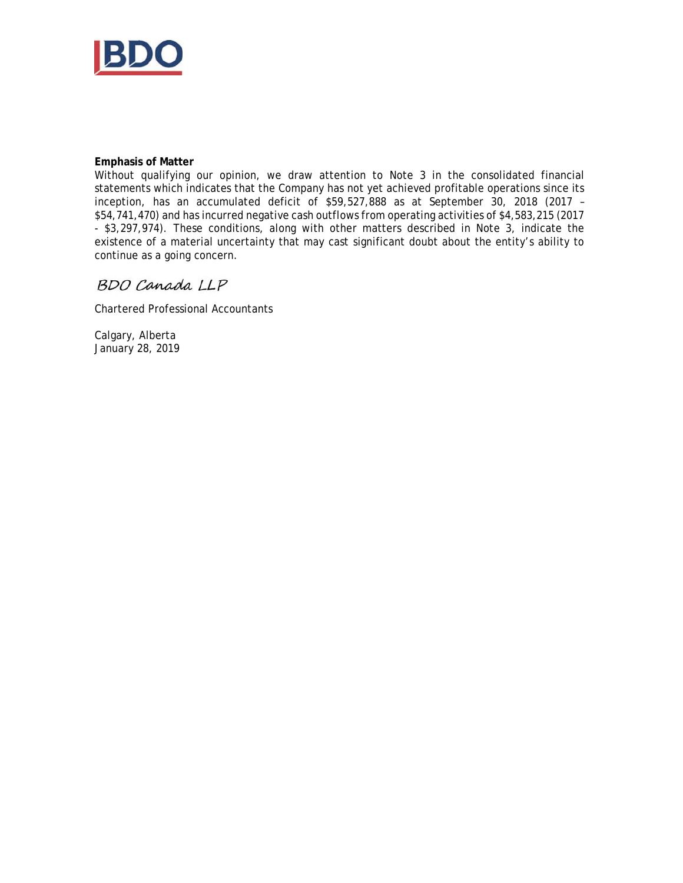

### **Emphasis of Matter**

Without qualifying our opinion, we draw attention to Note 3 in the consolidated financial statements which indicates that the Company has not yet achieved profitable operations since its inception, has an accumulated deficit of \$59,527,888 as at September 30, 2018 (2017 – \$54,741,470) and has incurred negative cash outflows from operating activities of \$4,583,215 (2017 - \$3,297,974). These conditions, along with other matters described in Note 3, indicate the existence of a material uncertainty that may cast significant doubt about the entity's ability to continue as a going concern.

### BDO Canada LLP

Chartered Professional Accountants

Calgary, Alberta January 28, 2019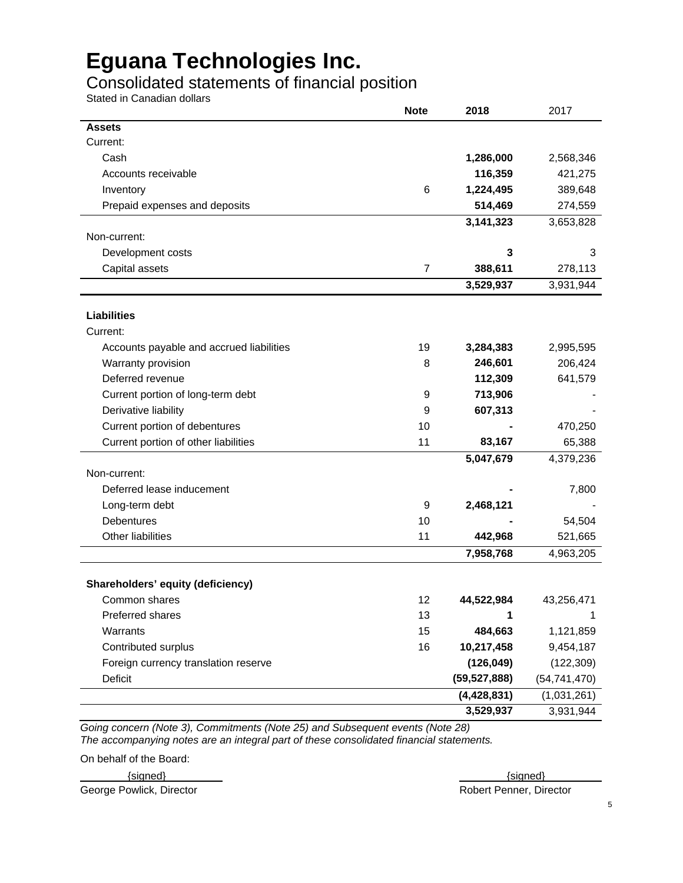### Consolidated statements of financial position

Stated in Canadian dollars

|                                                                | <b>Note</b>    | 2018           | 2017                 |
|----------------------------------------------------------------|----------------|----------------|----------------------|
| <b>Assets</b>                                                  |                |                |                      |
| Current:                                                       |                |                |                      |
| Cash                                                           |                | 1,286,000      | 2,568,346            |
| Accounts receivable                                            |                | 116,359        | 421,275              |
| Inventory                                                      | 6              | 1,224,495      | 389,648              |
| Prepaid expenses and deposits                                  |                | 514,469        | 274,559              |
|                                                                |                | 3,141,323      | 3,653,828            |
| Non-current:                                                   |                |                |                      |
| Development costs                                              |                | $\mathbf{3}$   | 3                    |
| Capital assets                                                 | $\overline{7}$ | 388,611        | 278,113              |
|                                                                |                | 3,529,937      | 3,931,944            |
| <b>Liabilities</b>                                             |                |                |                      |
| Current:                                                       |                |                |                      |
|                                                                | 19             | 3,284,383      |                      |
| Accounts payable and accrued liabilities<br>Warranty provision | 8              | 246,601        | 2,995,595<br>206,424 |
| Deferred revenue                                               |                | 112,309        |                      |
|                                                                |                | 713,906        | 641,579              |
| Current portion of long-term debt                              | 9<br>9         |                |                      |
| Derivative liability<br>Current portion of debentures          | 10             | 607,313        | 470,250              |
|                                                                | 11             |                |                      |
| Current portion of other liabilities                           |                | 83,167         | 65,388               |
| Non-current:                                                   |                | 5,047,679      | 4,379,236            |
| Deferred lease inducement                                      |                |                | 7,800                |
| Long-term debt                                                 | 9              | 2,468,121      |                      |
| Debentures                                                     | 10             |                | 54,504               |
| <b>Other liabilities</b>                                       | 11             | 442,968        | 521,665              |
|                                                                |                | 7,958,768      |                      |
|                                                                |                |                | 4,963,205            |
| Shareholders' equity (deficiency)                              |                |                |                      |
| Common shares                                                  | 12             | 44,522,984     | 43,256,471           |
| Preferred shares                                               | 13             | 1              | 1                    |
| Warrants                                                       | 15             | 484,663        | 1,121,859            |
| Contributed surplus                                            | 16             | 10,217,458     | 9,454,187            |
| Foreign currency translation reserve                           |                | (126, 049)     | (122, 309)           |
| Deficit                                                        |                | (59, 527, 888) | (54, 741, 470)       |
|                                                                |                | (4, 428, 831)  | (1,031,261)          |
|                                                                |                | 3,529,937      | 3,931,944            |

*Going concern (Note 3), Commitments (Note 25) and Subsequent events (Note 28) The accompanying notes are an integral part of these consolidated financial statements.* 

On behalf of the Board:

George Powlick, Director **Robert Penner, Director** Robert Penner, Director

 $\{signed\}$   $\{\{square\}$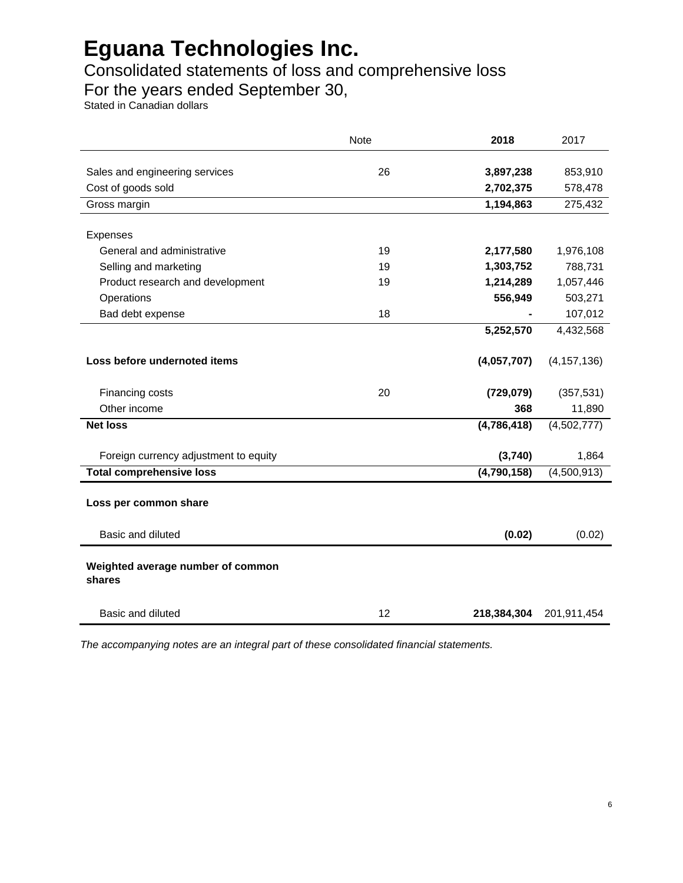### Consolidated statements of loss and comprehensive loss

For the years ended September 30,

Stated in Canadian dollars

|                                             | 2018<br>Note |             | 2017          |
|---------------------------------------------|--------------|-------------|---------------|
|                                             |              |             |               |
| Sales and engineering services              | 26           | 3,897,238   | 853,910       |
| Cost of goods sold                          |              | 2,702,375   | 578,478       |
| Gross margin                                |              | 1,194,863   | 275,432       |
|                                             |              |             |               |
| Expenses                                    |              |             |               |
| General and administrative                  | 19           | 2,177,580   | 1,976,108     |
| Selling and marketing                       | 19           | 1,303,752   | 788,731       |
| Product research and development            | 19           | 1,214,289   | 1,057,446     |
| Operations                                  |              | 556,949     | 503,271       |
| Bad debt expense                            | 18           |             | 107,012       |
|                                             |              | 5,252,570   | 4,432,568     |
|                                             |              |             |               |
| Loss before undernoted items                |              | (4,057,707) | (4, 157, 136) |
|                                             |              |             |               |
| Financing costs                             | 20           | (729, 079)  | (357, 531)    |
| Other income                                |              | 368         | 11,890        |
| <b>Net loss</b>                             |              | (4,786,418) | (4,502,777)   |
|                                             |              |             |               |
| Foreign currency adjustment to equity       |              | (3,740)     | 1,864         |
| <b>Total comprehensive loss</b>             |              | (4,790,158) | (4,500,913)   |
|                                             |              |             |               |
| Loss per common share                       |              |             |               |
|                                             |              |             |               |
| <b>Basic and diluted</b>                    |              | (0.02)      | (0.02)        |
|                                             |              |             |               |
| Weighted average number of common<br>shares |              |             |               |
|                                             |              |             |               |
| <b>Basic and diluted</b>                    | 12           | 218,384,304 | 201,911,454   |
|                                             |              |             |               |

*The accompanying notes are an integral part of these consolidated financial statements.*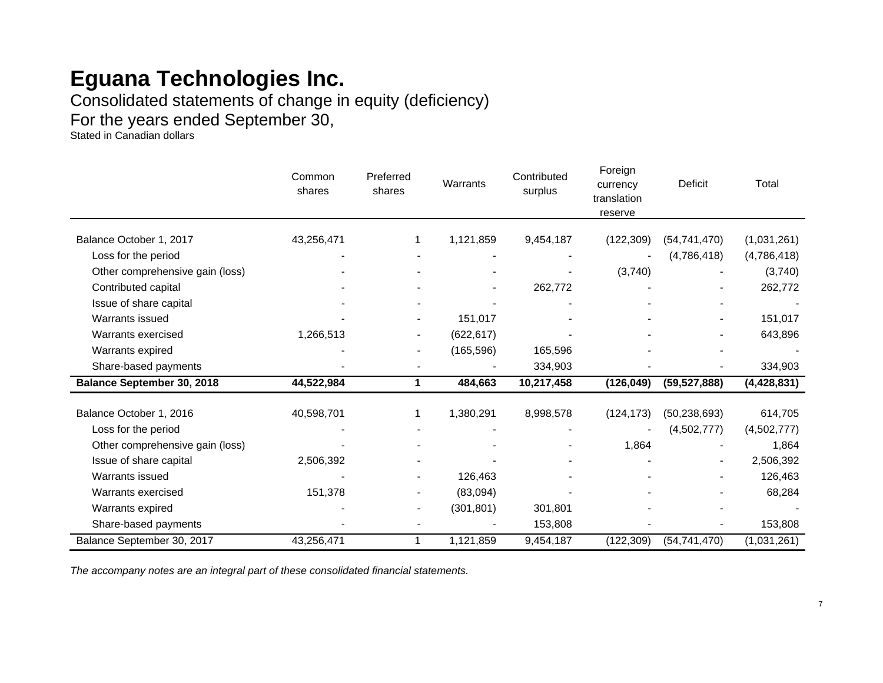Consolidated statements of change in equity (deficiency)

For the years ended September 30,

Stated in Canadian dollars

|                                   | Common<br>shares | Preferred<br>shares | Warrants   | Contributed<br>surplus | Foreign<br>currency<br>translation<br>reserve | Deficit        | Total         |
|-----------------------------------|------------------|---------------------|------------|------------------------|-----------------------------------------------|----------------|---------------|
| Balance October 1, 2017           | 43,256,471       | 1                   | 1,121,859  | 9,454,187              | (122, 309)                                    | (54, 741, 470) | (1,031,261)   |
| Loss for the period               |                  |                     |            |                        |                                               | (4,786,418)    | (4,786,418)   |
| Other comprehensive gain (loss)   |                  |                     |            |                        | (3,740)                                       |                | (3,740)       |
| Contributed capital               |                  |                     |            | 262,772                |                                               |                | 262,772       |
| Issue of share capital            |                  |                     |            |                        |                                               |                |               |
| Warrants issued                   |                  |                     | 151,017    |                        |                                               |                | 151,017       |
| Warrants exercised                | 1,266,513        | $\blacksquare$      | (622, 617) |                        |                                               |                | 643,896       |
| Warrants expired                  |                  | $\blacksquare$      | (165, 596) | 165,596                |                                               |                |               |
| Share-based payments              |                  |                     |            | 334,903                |                                               |                | 334,903       |
| <b>Balance September 30, 2018</b> | 44,522,984       | 1                   | 484,663    | 10,217,458             | (126, 049)                                    | (59, 527, 888) | (4, 428, 831) |
| Balance October 1, 2016           | 40,598,701       | 1                   | 1,380,291  | 8,998,578              | (124, 173)                                    | (50, 238, 693) | 614,705       |
| Loss for the period               |                  |                     |            |                        |                                               | (4,502,777)    | (4,502,777)   |
| Other comprehensive gain (loss)   |                  |                     |            |                        | 1,864                                         |                | 1,864         |
| Issue of share capital            | 2,506,392        |                     |            |                        |                                               |                | 2,506,392     |
| Warrants issued                   |                  |                     | 126,463    |                        |                                               |                | 126,463       |
| Warrants exercised                | 151,378          |                     | (83,094)   |                        |                                               |                | 68,284        |
| Warrants expired                  |                  |                     | (301, 801) | 301,801                |                                               |                |               |
| Share-based payments              |                  |                     |            | 153,808                |                                               |                | 153,808       |
| Balance September 30, 2017        | 43,256,471       | 1                   | 1,121,859  | 9,454,187              | (122, 309)                                    | (54, 741, 470) | (1,031,261)   |

*The accompany notes are an integral part of these consolidated financial statements.*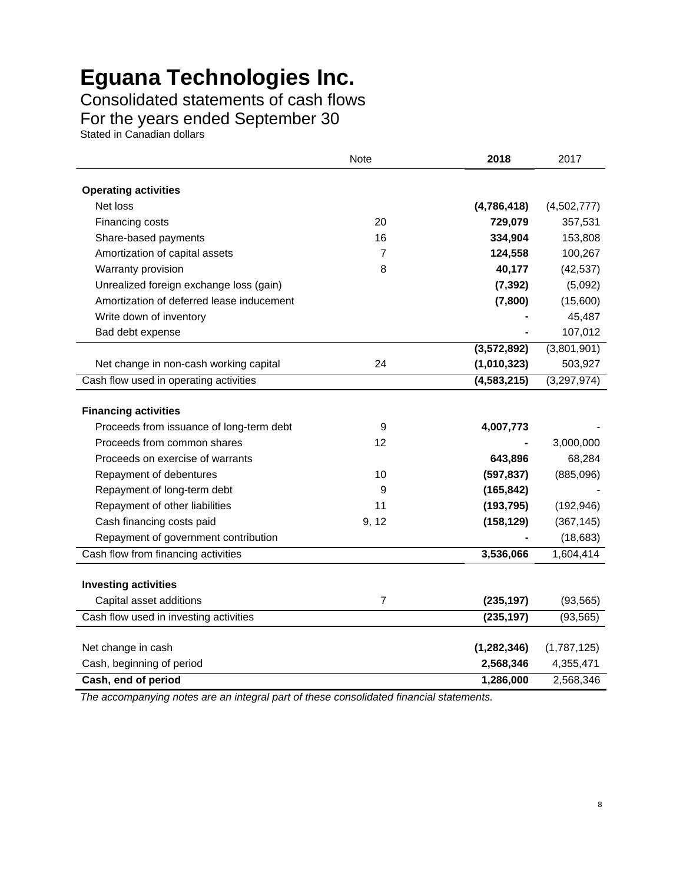Consolidated statements of cash flows For the years ended September 30

Stated in Canadian dollars

|                                           | Note           | 2018          | 2017        |
|-------------------------------------------|----------------|---------------|-------------|
| <b>Operating activities</b>               |                |               |             |
| Net loss                                  |                | (4,786,418)   | (4,502,777) |
| Financing costs                           | 20             | 729,079       | 357,531     |
| Share-based payments                      | 16             | 334,904       | 153,808     |
| Amortization of capital assets            | 7              | 124,558       | 100,267     |
| Warranty provision                        | 8              | 40,177        | (42, 537)   |
| Unrealized foreign exchange loss (gain)   |                | (7, 392)      | (5,092)     |
| Amortization of deferred lease inducement |                | (7,800)       | (15,600)    |
| Write down of inventory                   |                |               | 45,487      |
| Bad debt expense                          |                |               | 107,012     |
|                                           |                | (3,572,892)   | (3,801,901) |
| Net change in non-cash working capital    | 24             | (1,010,323)   | 503,927     |
| Cash flow used in operating activities    |                | (4, 583, 215) | (3,297,974) |
| <b>Financing activities</b>               |                |               |             |
| Proceeds from issuance of long-term debt  | 9              | 4,007,773     |             |
| Proceeds from common shares               | 12             |               | 3,000,000   |
| Proceeds on exercise of warrants          |                | 643,896       | 68,284      |
| Repayment of debentures                   | 10             | (597, 837)    | (885,096)   |
| Repayment of long-term debt               | 9              | (165, 842)    |             |
| Repayment of other liabilities            | 11             | (193, 795)    | (192, 946)  |
| Cash financing costs paid                 | 9, 12          | (158, 129)    | (367, 145)  |
| Repayment of government contribution      |                |               | (18, 683)   |
| Cash flow from financing activities       |                | 3,536,066     | 1,604,414   |
| <b>Investing activities</b>               |                |               |             |
| Capital asset additions                   | $\overline{7}$ | (235, 197)    | (93, 565)   |
| Cash flow used in investing activities    |                | (235, 197)    | (93, 565)   |
| Net change in cash                        |                | (1, 282, 346) | (1,787,125) |
| Cash, beginning of period                 |                | 2,568,346     | 4,355,471   |
| Cash, end of period                       |                | 1,286,000     | 2,568,346   |

*The accompanying notes are an integral part of these consolidated financial statements.*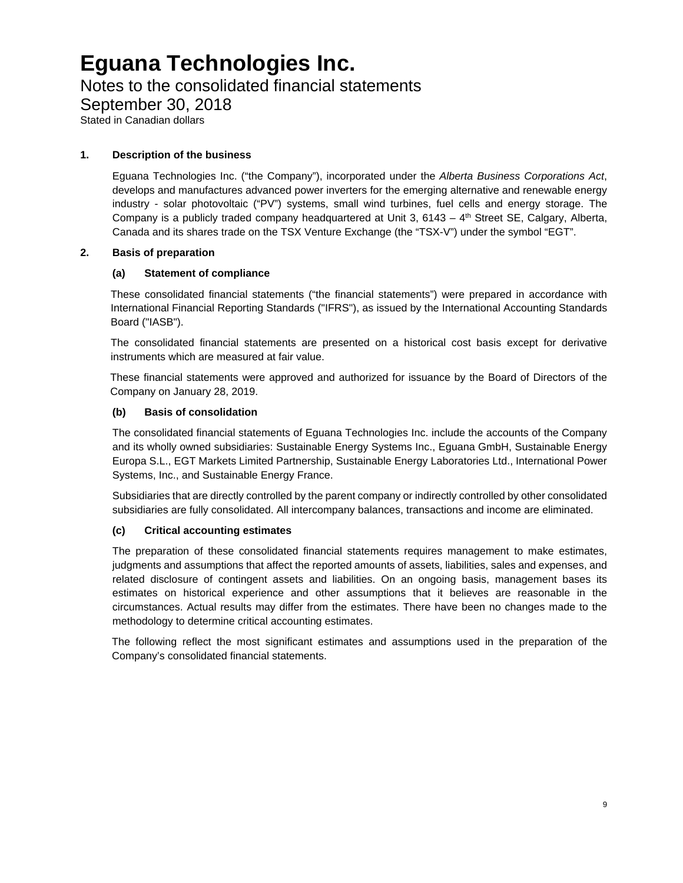### Notes to the consolidated financial statements

September 30, 2018

Stated in Canadian dollars

### **1. Description of the business**

Eguana Technologies Inc. ("the Company"), incorporated under the *Alberta Business Corporations Act*, develops and manufactures advanced power inverters for the emerging alternative and renewable energy industry - solar photovoltaic ("PV") systems, small wind turbines, fuel cells and energy storage. The Company is a publicly traded company headquartered at Unit 3,  $6143 - 4$ <sup>th</sup> Street SE, Calgary, Alberta, Canada and its shares trade on the TSX Venture Exchange (the "TSX-V") under the symbol "EGT".

### **2. Basis of preparation**

### **(a) Statement of compliance**

These consolidated financial statements ("the financial statements") were prepared in accordance with International Financial Reporting Standards ("IFRS"), as issued by the International Accounting Standards Board ("IASB").

The consolidated financial statements are presented on a historical cost basis except for derivative instruments which are measured at fair value.

These financial statements were approved and authorized for issuance by the Board of Directors of the Company on January 28, 2019.

### **(b) Basis of consolidation**

The consolidated financial statements of Eguana Technologies Inc. include the accounts of the Company and its wholly owned subsidiaries: Sustainable Energy Systems Inc., Eguana GmbH, Sustainable Energy Europa S.L., EGT Markets Limited Partnership, Sustainable Energy Laboratories Ltd., International Power Systems, Inc., and Sustainable Energy France.

Subsidiaries that are directly controlled by the parent company or indirectly controlled by other consolidated subsidiaries are fully consolidated. All intercompany balances, transactions and income are eliminated.

### **(c) Critical accounting estimates**

The preparation of these consolidated financial statements requires management to make estimates, judgments and assumptions that affect the reported amounts of assets, liabilities, sales and expenses, and related disclosure of contingent assets and liabilities. On an ongoing basis, management bases its estimates on historical experience and other assumptions that it believes are reasonable in the circumstances. Actual results may differ from the estimates. There have been no changes made to the methodology to determine critical accounting estimates.

The following reflect the most significant estimates and assumptions used in the preparation of the Company's consolidated financial statements.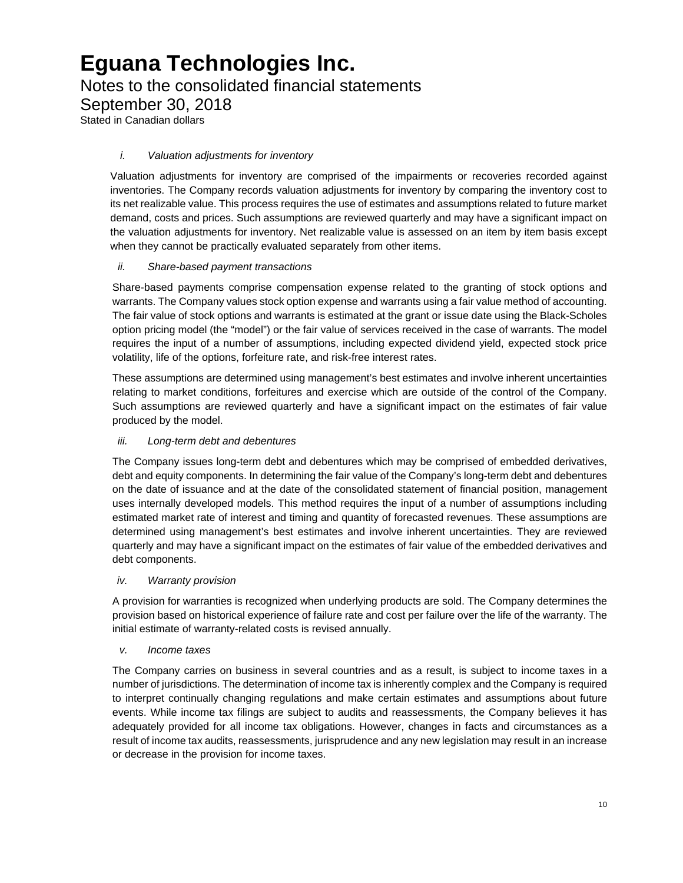Notes to the consolidated financial statements

September 30, 2018

Stated in Canadian dollars

### *i. Valuation adjustments for inventory*

Valuation adjustments for inventory are comprised of the impairments or recoveries recorded against inventories. The Company records valuation adjustments for inventory by comparing the inventory cost to its net realizable value. This process requires the use of estimates and assumptions related to future market demand, costs and prices. Such assumptions are reviewed quarterly and may have a significant impact on the valuation adjustments for inventory. Net realizable value is assessed on an item by item basis except when they cannot be practically evaluated separately from other items.

### *ii. Share-based payment transactions*

Share-based payments comprise compensation expense related to the granting of stock options and warrants. The Company values stock option expense and warrants using a fair value method of accounting. The fair value of stock options and warrants is estimated at the grant or issue date using the Black-Scholes option pricing model (the "model") or the fair value of services received in the case of warrants. The model requires the input of a number of assumptions, including expected dividend yield, expected stock price volatility, life of the options, forfeiture rate, and risk-free interest rates.

These assumptions are determined using management's best estimates and involve inherent uncertainties relating to market conditions, forfeitures and exercise which are outside of the control of the Company. Such assumptions are reviewed quarterly and have a significant impact on the estimates of fair value produced by the model.

### *iii. Long-term debt and debentures*

The Company issues long-term debt and debentures which may be comprised of embedded derivatives, debt and equity components. In determining the fair value of the Company's long-term debt and debentures on the date of issuance and at the date of the consolidated statement of financial position, management uses internally developed models. This method requires the input of a number of assumptions including estimated market rate of interest and timing and quantity of forecasted revenues. These assumptions are determined using management's best estimates and involve inherent uncertainties. They are reviewed quarterly and may have a significant impact on the estimates of fair value of the embedded derivatives and debt components.

### *iv. Warranty provision*

A provision for warranties is recognized when underlying products are sold. The Company determines the provision based on historical experience of failure rate and cost per failure over the life of the warranty. The initial estimate of warranty-related costs is revised annually.

### *v. Income taxes*

The Company carries on business in several countries and as a result, is subject to income taxes in a number of jurisdictions. The determination of income tax is inherently complex and the Company is required to interpret continually changing regulations and make certain estimates and assumptions about future events. While income tax filings are subject to audits and reassessments, the Company believes it has adequately provided for all income tax obligations. However, changes in facts and circumstances as a result of income tax audits, reassessments, jurisprudence and any new legislation may result in an increase or decrease in the provision for income taxes.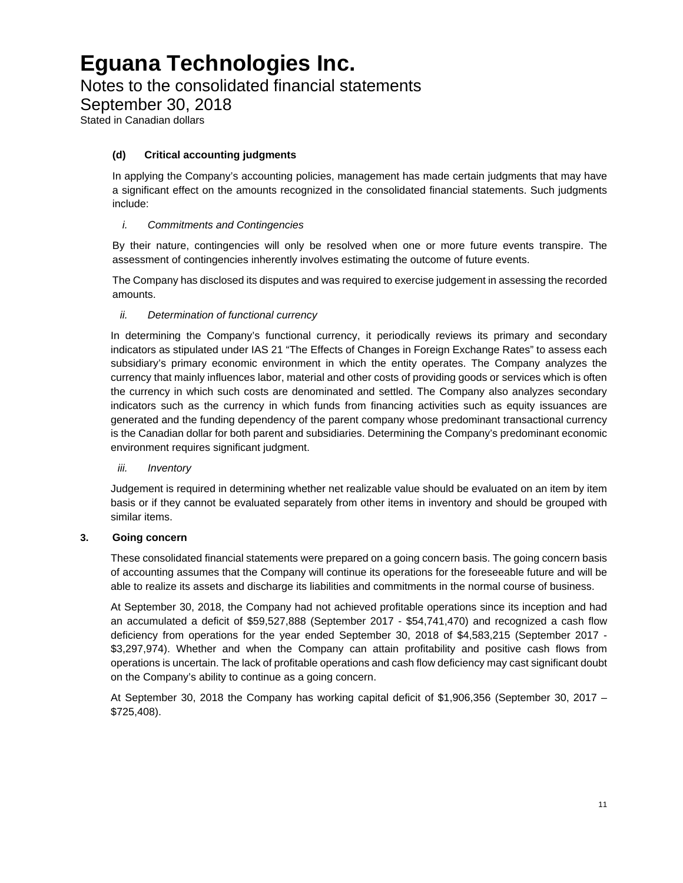Notes to the consolidated financial statements

September 30, 2018

Stated in Canadian dollars

### **(d) Critical accounting judgments**

In applying the Company's accounting policies, management has made certain judgments that may have a significant effect on the amounts recognized in the consolidated financial statements. Such judgments include:

### *i. Commitments and Contingencies*

By their nature, contingencies will only be resolved when one or more future events transpire. The assessment of contingencies inherently involves estimating the outcome of future events.

The Company has disclosed its disputes and was required to exercise judgement in assessing the recorded amounts.

### *ii. Determination of functional currency*

In determining the Company's functional currency, it periodically reviews its primary and secondary indicators as stipulated under IAS 21 "The Effects of Changes in Foreign Exchange Rates" to assess each subsidiary's primary economic environment in which the entity operates. The Company analyzes the currency that mainly influences labor, material and other costs of providing goods or services which is often the currency in which such costs are denominated and settled. The Company also analyzes secondary indicators such as the currency in which funds from financing activities such as equity issuances are generated and the funding dependency of the parent company whose predominant transactional currency is the Canadian dollar for both parent and subsidiaries. Determining the Company's predominant economic environment requires significant judgment.

### *iii. Inventory*

Judgement is required in determining whether net realizable value should be evaluated on an item by item basis or if they cannot be evaluated separately from other items in inventory and should be grouped with similar items.

### **3. Going concern**

These consolidated financial statements were prepared on a going concern basis. The going concern basis of accounting assumes that the Company will continue its operations for the foreseeable future and will be able to realize its assets and discharge its liabilities and commitments in the normal course of business.

At September 30, 2018, the Company had not achieved profitable operations since its inception and had an accumulated a deficit of \$59,527,888 (September 2017 - \$54,741,470) and recognized a cash flow deficiency from operations for the year ended September 30, 2018 of \$4,583,215 (September 2017 - \$3,297,974). Whether and when the Company can attain profitability and positive cash flows from operations is uncertain. The lack of profitable operations and cash flow deficiency may cast significant doubt on the Company's ability to continue as a going concern.

At September 30, 2018 the Company has working capital deficit of \$1,906,356 (September 30, 2017 – \$725,408).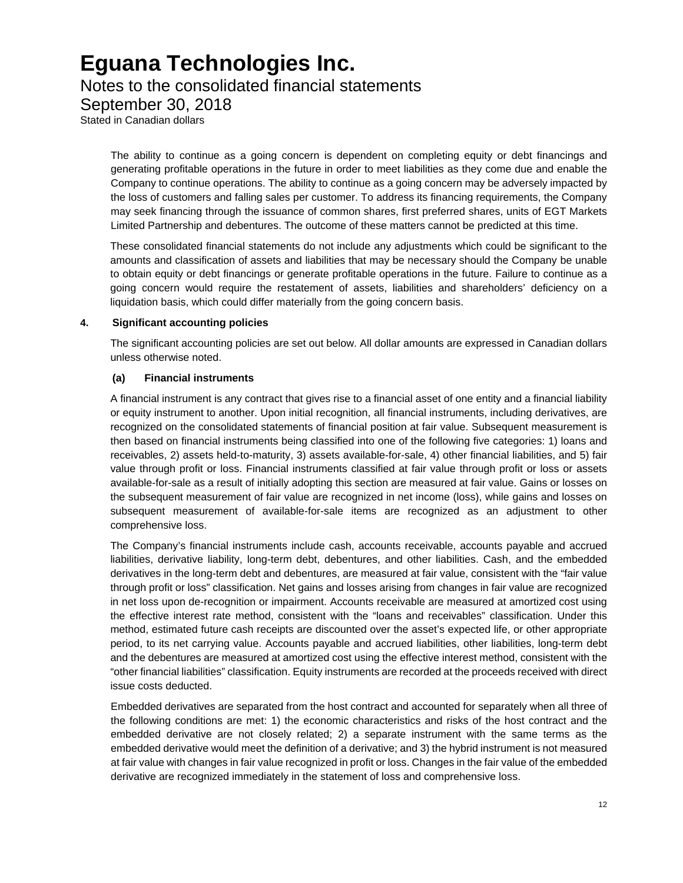### Notes to the consolidated financial statements

September 30, 2018

Stated in Canadian dollars

The ability to continue as a going concern is dependent on completing equity or debt financings and generating profitable operations in the future in order to meet liabilities as they come due and enable the Company to continue operations. The ability to continue as a going concern may be adversely impacted by the loss of customers and falling sales per customer. To address its financing requirements, the Company may seek financing through the issuance of common shares, first preferred shares, units of EGT Markets Limited Partnership and debentures. The outcome of these matters cannot be predicted at this time.

These consolidated financial statements do not include any adjustments which could be significant to the amounts and classification of assets and liabilities that may be necessary should the Company be unable to obtain equity or debt financings or generate profitable operations in the future. Failure to continue as a going concern would require the restatement of assets, liabilities and shareholders' deficiency on a liquidation basis, which could differ materially from the going concern basis.

### **4. Significant accounting policies**

The significant accounting policies are set out below. All dollar amounts are expressed in Canadian dollars unless otherwise noted.

#### **(a) Financial instruments**

A financial instrument is any contract that gives rise to a financial asset of one entity and a financial liability or equity instrument to another. Upon initial recognition, all financial instruments, including derivatives, are recognized on the consolidated statements of financial position at fair value. Subsequent measurement is then based on financial instruments being classified into one of the following five categories: 1) loans and receivables, 2) assets held-to-maturity, 3) assets available-for-sale, 4) other financial liabilities, and 5) fair value through profit or loss. Financial instruments classified at fair value through profit or loss or assets available-for-sale as a result of initially adopting this section are measured at fair value. Gains or losses on the subsequent measurement of fair value are recognized in net income (loss), while gains and losses on subsequent measurement of available-for-sale items are recognized as an adjustment to other comprehensive loss.

The Company's financial instruments include cash, accounts receivable, accounts payable and accrued liabilities, derivative liability, long-term debt, debentures, and other liabilities. Cash, and the embedded derivatives in the long-term debt and debentures, are measured at fair value, consistent with the "fair value through profit or loss" classification. Net gains and losses arising from changes in fair value are recognized in net loss upon de-recognition or impairment. Accounts receivable are measured at amortized cost using the effective interest rate method, consistent with the "loans and receivables" classification. Under this method, estimated future cash receipts are discounted over the asset's expected life, or other appropriate period, to its net carrying value. Accounts payable and accrued liabilities, other liabilities, long-term debt and the debentures are measured at amortized cost using the effective interest method, consistent with the "other financial liabilities" classification. Equity instruments are recorded at the proceeds received with direct issue costs deducted.

Embedded derivatives are separated from the host contract and accounted for separately when all three of the following conditions are met: 1) the economic characteristics and risks of the host contract and the embedded derivative are not closely related; 2) a separate instrument with the same terms as the embedded derivative would meet the definition of a derivative; and 3) the hybrid instrument is not measured at fair value with changes in fair value recognized in profit or loss. Changes in the fair value of the embedded derivative are recognized immediately in the statement of loss and comprehensive loss.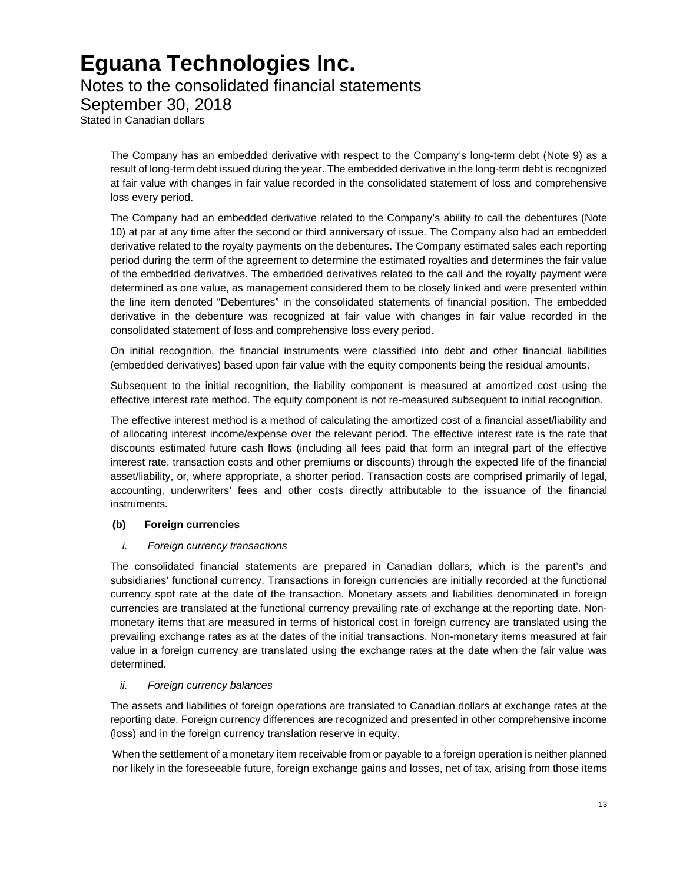### Notes to the consolidated financial statements

September 30, 2018

Stated in Canadian dollars

The Company has an embedded derivative with respect to the Company's long-term debt (Note 9) as a result of long-term debt issued during the year. The embedded derivative in the long-term debt is recognized at fair value with changes in fair value recorded in the consolidated statement of loss and comprehensive loss every period.

The Company had an embedded derivative related to the Company's ability to call the debentures (Note 10) at par at any time after the second or third anniversary of issue. The Company also had an embedded derivative related to the royalty payments on the debentures. The Company estimated sales each reporting period during the term of the agreement to determine the estimated royalties and determines the fair value of the embedded derivatives. The embedded derivatives related to the call and the royalty payment were determined as one value, as management considered them to be closely linked and were presented within the line item denoted "Debentures" in the consolidated statements of financial position. The embedded derivative in the debenture was recognized at fair value with changes in fair value recorded in the consolidated statement of loss and comprehensive loss every period.

On initial recognition, the financial instruments were classified into debt and other financial liabilities (embedded derivatives) based upon fair value with the equity components being the residual amounts.

Subsequent to the initial recognition, the liability component is measured at amortized cost using the effective interest rate method. The equity component is not re-measured subsequent to initial recognition.

The effective interest method is a method of calculating the amortized cost of a financial asset/liability and of allocating interest income/expense over the relevant period. The effective interest rate is the rate that discounts estimated future cash flows (including all fees paid that form an integral part of the effective interest rate, transaction costs and other premiums or discounts) through the expected life of the financial asset/liability, or, where appropriate, a shorter period. Transaction costs are comprised primarily of legal, accounting, underwriters' fees and other costs directly attributable to the issuance of the financial instruments*.*

### **(b) Foreign currencies**

### *i. Foreign currency transactions*

The consolidated financial statements are prepared in Canadian dollars, which is the parent's and subsidiaries' functional currency. Transactions in foreign currencies are initially recorded at the functional currency spot rate at the date of the transaction. Monetary assets and liabilities denominated in foreign currencies are translated at the functional currency prevailing rate of exchange at the reporting date. Nonmonetary items that are measured in terms of historical cost in foreign currency are translated using the prevailing exchange rates as at the dates of the initial transactions. Non-monetary items measured at fair value in a foreign currency are translated using the exchange rates at the date when the fair value was determined.

### *ii. Foreign currency balances*

The assets and liabilities of foreign operations are translated to Canadian dollars at exchange rates at the reporting date. Foreign currency differences are recognized and presented in other comprehensive income (loss) and in the foreign currency translation reserve in equity.

When the settlement of a monetary item receivable from or payable to a foreign operation is neither planned nor likely in the foreseeable future, foreign exchange gains and losses, net of tax, arising from those items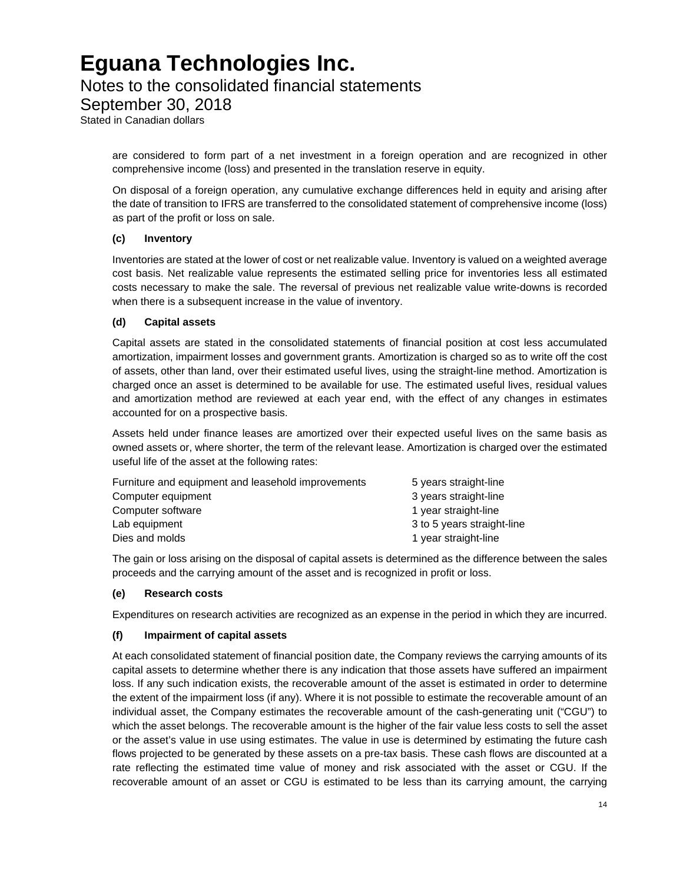### Notes to the consolidated financial statements

September 30, 2018

Stated in Canadian dollars

are considered to form part of a net investment in a foreign operation and are recognized in other comprehensive income (loss) and presented in the translation reserve in equity.

On disposal of a foreign operation, any cumulative exchange differences held in equity and arising after the date of transition to IFRS are transferred to the consolidated statement of comprehensive income (loss) as part of the profit or loss on sale.

### **(c) Inventory**

Inventories are stated at the lower of cost or net realizable value. Inventory is valued on a weighted average cost basis. Net realizable value represents the estimated selling price for inventories less all estimated costs necessary to make the sale. The reversal of previous net realizable value write-downs is recorded when there is a subsequent increase in the value of inventory.

### **(d) Capital assets**

Capital assets are stated in the consolidated statements of financial position at cost less accumulated amortization, impairment losses and government grants. Amortization is charged so as to write off the cost of assets, other than land, over their estimated useful lives, using the straight-line method. Amortization is charged once an asset is determined to be available for use. The estimated useful lives, residual values and amortization method are reviewed at each year end, with the effect of any changes in estimates accounted for on a prospective basis.

Assets held under finance leases are amortized over their expected useful lives on the same basis as owned assets or, where shorter, the term of the relevant lease. Amortization is charged over the estimated useful life of the asset at the following rates:

| Furniture and equipment and leasehold improvements | 5 years straight-line      |
|----------------------------------------------------|----------------------------|
| Computer equipment                                 | 3 years straight-line      |
| Computer software                                  | 1 year straight-line       |
| Lab equipment                                      | 3 to 5 years straight-line |
| Dies and molds                                     | 1 year straight-line       |

The gain or loss arising on the disposal of capital assets is determined as the difference between the sales proceeds and the carrying amount of the asset and is recognized in profit or loss.

### **(e) Research costs**

Expenditures on research activities are recognized as an expense in the period in which they are incurred.

#### **(f) Impairment of capital assets**

At each consolidated statement of financial position date, the Company reviews the carrying amounts of its capital assets to determine whether there is any indication that those assets have suffered an impairment loss. If any such indication exists, the recoverable amount of the asset is estimated in order to determine the extent of the impairment loss (if any). Where it is not possible to estimate the recoverable amount of an individual asset, the Company estimates the recoverable amount of the cash-generating unit ("CGU") to which the asset belongs. The recoverable amount is the higher of the fair value less costs to sell the asset or the asset's value in use using estimates. The value in use is determined by estimating the future cash flows projected to be generated by these assets on a pre-tax basis. These cash flows are discounted at a rate reflecting the estimated time value of money and risk associated with the asset or CGU. If the recoverable amount of an asset or CGU is estimated to be less than its carrying amount, the carrying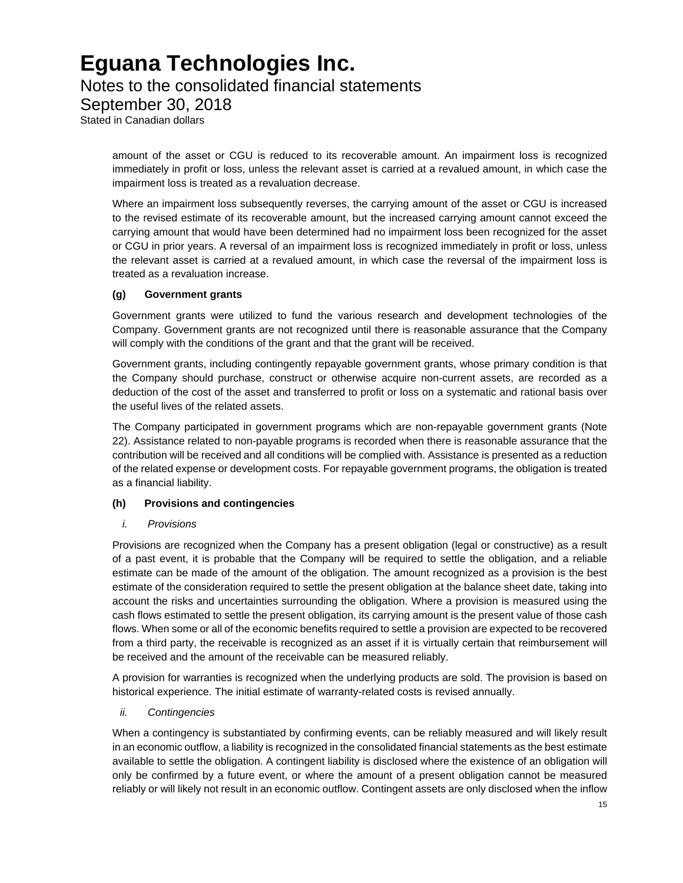### Notes to the consolidated financial statements

September 30, 2018

Stated in Canadian dollars

amount of the asset or CGU is reduced to its recoverable amount. An impairment loss is recognized immediately in profit or loss, unless the relevant asset is carried at a revalued amount, in which case the impairment loss is treated as a revaluation decrease.

Where an impairment loss subsequently reverses, the carrying amount of the asset or CGU is increased to the revised estimate of its recoverable amount, but the increased carrying amount cannot exceed the carrying amount that would have been determined had no impairment loss been recognized for the asset or CGU in prior years. A reversal of an impairment loss is recognized immediately in profit or loss, unless the relevant asset is carried at a revalued amount, in which case the reversal of the impairment loss is treated as a revaluation increase.

### **(g) Government grants**

Government grants were utilized to fund the various research and development technologies of the Company. Government grants are not recognized until there is reasonable assurance that the Company will comply with the conditions of the grant and that the grant will be received.

Government grants, including contingently repayable government grants, whose primary condition is that the Company should purchase, construct or otherwise acquire non-current assets, are recorded as a deduction of the cost of the asset and transferred to profit or loss on a systematic and rational basis over the useful lives of the related assets.

The Company participated in government programs which are non-repayable government grants (Note 22). Assistance related to non-payable programs is recorded when there is reasonable assurance that the contribution will be received and all conditions will be complied with. Assistance is presented as a reduction of the related expense or development costs. For repayable government programs, the obligation is treated as a financial liability.

### **(h) Provisions and contingencies**

### *i. Provisions*

Provisions are recognized when the Company has a present obligation (legal or constructive) as a result of a past event, it is probable that the Company will be required to settle the obligation, and a reliable estimate can be made of the amount of the obligation. The amount recognized as a provision is the best estimate of the consideration required to settle the present obligation at the balance sheet date, taking into account the risks and uncertainties surrounding the obligation. Where a provision is measured using the cash flows estimated to settle the present obligation, its carrying amount is the present value of those cash flows. When some or all of the economic benefits required to settle a provision are expected to be recovered from a third party, the receivable is recognized as an asset if it is virtually certain that reimbursement will be received and the amount of the receivable can be measured reliably.

A provision for warranties is recognized when the underlying products are sold. The provision is based on historical experience. The initial estimate of warranty-related costs is revised annually.

### *ii. Contingencies*

When a contingency is substantiated by confirming events, can be reliably measured and will likely result in an economic outflow, a liability is recognized in the consolidated financial statements as the best estimate available to settle the obligation. A contingent liability is disclosed where the existence of an obligation will only be confirmed by a future event, or where the amount of a present obligation cannot be measured reliably or will likely not result in an economic outflow. Contingent assets are only disclosed when the inflow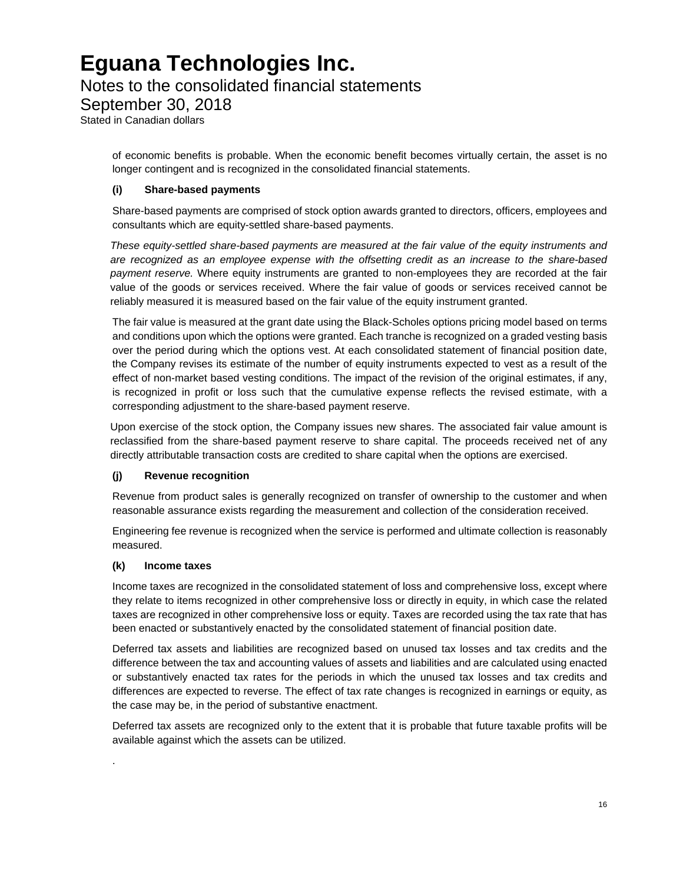### Notes to the consolidated financial statements

September 30, 2018

Stated in Canadian dollars

of economic benefits is probable. When the economic benefit becomes virtually certain, the asset is no longer contingent and is recognized in the consolidated financial statements.

### **(i) Share-based payments**

Share-based payments are comprised of stock option awards granted to directors, officers, employees and consultants which are equity-settled share-based payments.

*These equity-settled share-based payments are measured at the fair value of the equity instruments and are recognized as an employee expense with the offsetting credit as an increase to the share-based payment reserve.* Where equity instruments are granted to non-employees they are recorded at the fair value of the goods or services received. Where the fair value of goods or services received cannot be reliably measured it is measured based on the fair value of the equity instrument granted.

The fair value is measured at the grant date using the Black-Scholes options pricing model based on terms and conditions upon which the options were granted. Each tranche is recognized on a graded vesting basis over the period during which the options vest. At each consolidated statement of financial position date, the Company revises its estimate of the number of equity instruments expected to vest as a result of the effect of non-market based vesting conditions. The impact of the revision of the original estimates, if any, is recognized in profit or loss such that the cumulative expense reflects the revised estimate, with a corresponding adjustment to the share-based payment reserve.

Upon exercise of the stock option, the Company issues new shares. The associated fair value amount is reclassified from the share-based payment reserve to share capital. The proceeds received net of any directly attributable transaction costs are credited to share capital when the options are exercised.

### **(j) Revenue recognition**

Revenue from product sales is generally recognized on transfer of ownership to the customer and when reasonable assurance exists regarding the measurement and collection of the consideration received.

Engineering fee revenue is recognized when the service is performed and ultimate collection is reasonably measured.

### **(k) Income taxes**

.

Income taxes are recognized in the consolidated statement of loss and comprehensive loss, except where they relate to items recognized in other comprehensive loss or directly in equity, in which case the related taxes are recognized in other comprehensive loss or equity. Taxes are recorded using the tax rate that has been enacted or substantively enacted by the consolidated statement of financial position date.

Deferred tax assets and liabilities are recognized based on unused tax losses and tax credits and the difference between the tax and accounting values of assets and liabilities and are calculated using enacted or substantively enacted tax rates for the periods in which the unused tax losses and tax credits and differences are expected to reverse. The effect of tax rate changes is recognized in earnings or equity, as the case may be, in the period of substantive enactment.

Deferred tax assets are recognized only to the extent that it is probable that future taxable profits will be available against which the assets can be utilized.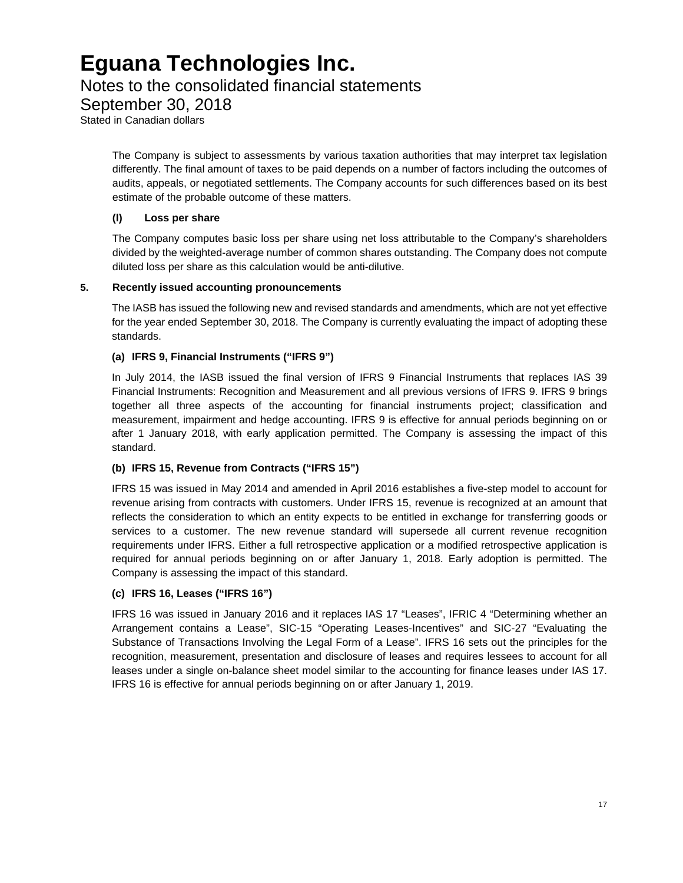### Notes to the consolidated financial statements

September 30, 2018

Stated in Canadian dollars

The Company is subject to assessments by various taxation authorities that may interpret tax legislation differently. The final amount of taxes to be paid depends on a number of factors including the outcomes of audits, appeals, or negotiated settlements. The Company accounts for such differences based on its best estimate of the probable outcome of these matters.

### **(l) Loss per share**

The Company computes basic loss per share using net loss attributable to the Company's shareholders divided by the weighted-average number of common shares outstanding. The Company does not compute diluted loss per share as this calculation would be anti-dilutive.

### **5. Recently issued accounting pronouncements**

The IASB has issued the following new and revised standards and amendments, which are not yet effective for the year ended September 30, 2018. The Company is currently evaluating the impact of adopting these standards.

### **(a) IFRS 9, Financial Instruments ("IFRS 9")**

In July 2014, the IASB issued the final version of IFRS 9 Financial Instruments that replaces IAS 39 Financial Instruments: Recognition and Measurement and all previous versions of IFRS 9. IFRS 9 brings together all three aspects of the accounting for financial instruments project; classification and measurement, impairment and hedge accounting. IFRS 9 is effective for annual periods beginning on or after 1 January 2018, with early application permitted. The Company is assessing the impact of this standard.

### **(b) IFRS 15, Revenue from Contracts ("IFRS 15")**

IFRS 15 was issued in May 2014 and amended in April 2016 establishes a five-step model to account for revenue arising from contracts with customers. Under IFRS 15, revenue is recognized at an amount that reflects the consideration to which an entity expects to be entitled in exchange for transferring goods or services to a customer. The new revenue standard will supersede all current revenue recognition requirements under IFRS. Either a full retrospective application or a modified retrospective application is required for annual periods beginning on or after January 1, 2018. Early adoption is permitted. The Company is assessing the impact of this standard.

### **(c) IFRS 16, Leases ("IFRS 16")**

IFRS 16 was issued in January 2016 and it replaces IAS 17 "Leases", IFRIC 4 "Determining whether an Arrangement contains a Lease", SIC-15 "Operating Leases-Incentives" and SIC-27 "Evaluating the Substance of Transactions Involving the Legal Form of a Lease". IFRS 16 sets out the principles for the recognition, measurement, presentation and disclosure of leases and requires lessees to account for all leases under a single on-balance sheet model similar to the accounting for finance leases under IAS 17. IFRS 16 is effective for annual periods beginning on or after January 1, 2019.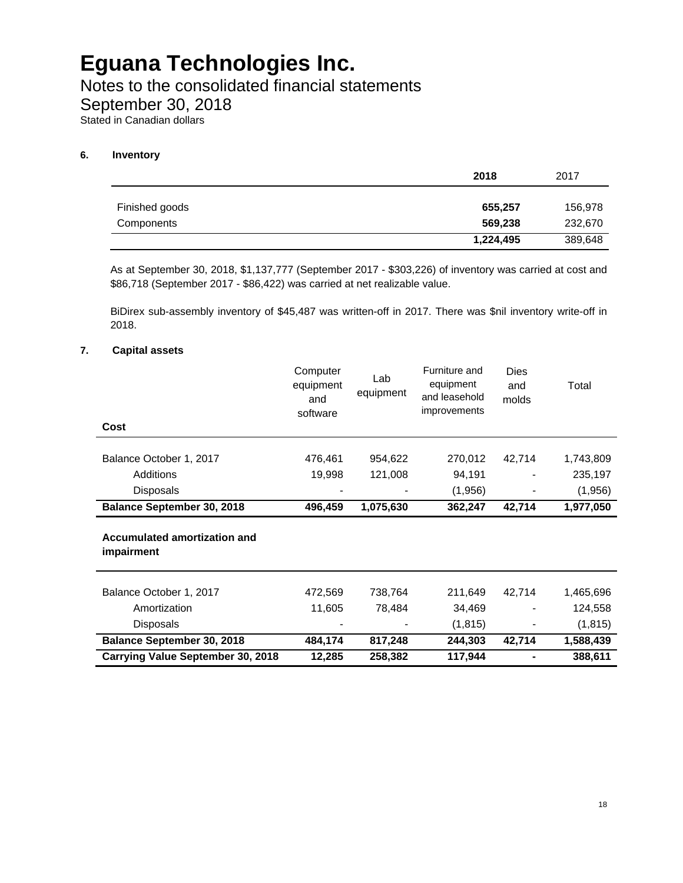Notes to the consolidated financial statements

September 30, 2018

Stated in Canadian dollars

### **6. Inventory**

|                | 2018      | 2017    |
|----------------|-----------|---------|
|                |           |         |
| Finished goods | 655,257   | 156,978 |
| Components     | 569,238   | 232,670 |
|                | 1,224,495 | 389,648 |

As at September 30, 2018, \$1,137,777 (September 2017 - \$303,226) of inventory was carried at cost and \$86,718 (September 2017 - \$86,422) was carried at net realizable value.

BiDirex sub-assembly inventory of \$45,487 was written-off in 2017. There was \$nil inventory write-off in 2018.

#### **7. Capital assets**

|                                            | Computer<br>equipment<br>and<br>software | Lab<br>equipment | Furniture and<br>equipment<br>and leasehold<br>improvements | <b>Dies</b><br>and<br>molds | Total     |
|--------------------------------------------|------------------------------------------|------------------|-------------------------------------------------------------|-----------------------------|-----------|
| Cost                                       |                                          |                  |                                                             |                             |           |
| Balance October 1, 2017                    | 476,461                                  | 954,622          | 270,012                                                     | 42,714                      | 1,743,809 |
| Additions                                  | 19,998                                   | 121,008          | 94,191                                                      |                             | 235,197   |
| <b>Disposals</b>                           |                                          |                  | (1,956)                                                     |                             | (1,956)   |
| Balance September 30, 2018                 | 496,459                                  | 1,075,630        | 362,247                                                     | 42,714                      | 1,977,050 |
| Accumulated amortization and<br>impairment |                                          |                  |                                                             |                             |           |
| Balance October 1, 2017                    | 472,569                                  | 738,764          | 211,649                                                     | 42,714                      | 1,465,696 |
| Amortization                               | 11,605                                   | 78,484           | 34,469                                                      |                             | 124,558   |
| Disposals                                  |                                          |                  | (1, 815)                                                    |                             | (1, 815)  |
| Balance September 30, 2018                 | 484,174                                  | 817,248          | 244,303                                                     | 42,714                      | 1,588,439 |
| <b>Carrying Value September 30, 2018</b>   | 12,285                                   | 258,382          | 117,944                                                     |                             | 388,611   |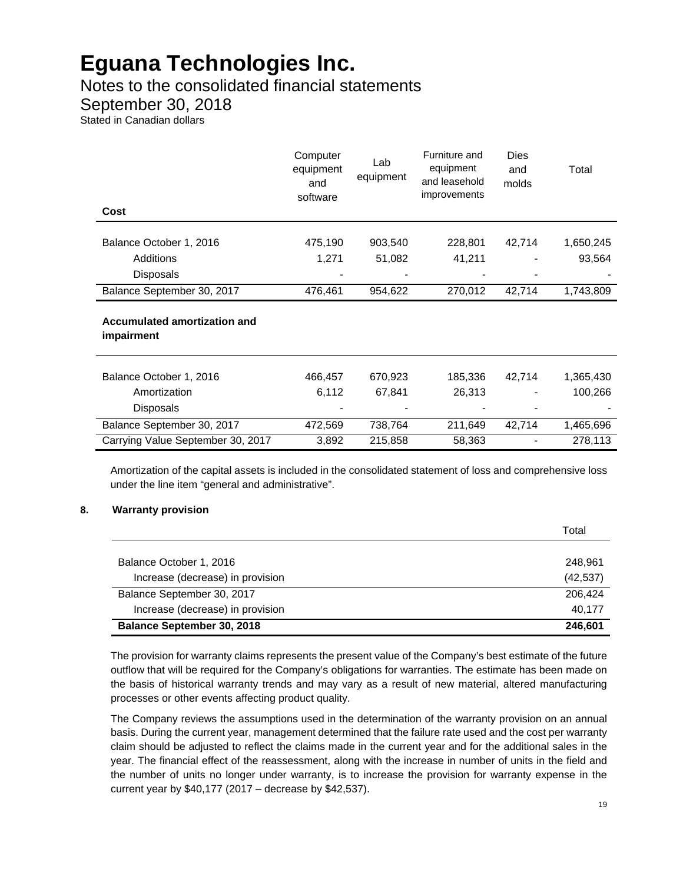Notes to the consolidated financial statements

September 30, 2018

Stated in Canadian dollars

| Cost                                              | Computer<br>equipment<br>and<br>software | Lab<br>equipment | Furniture and<br>equipment<br>and leasehold<br>improvements | <b>Dies</b><br>and<br>molds | Total     |
|---------------------------------------------------|------------------------------------------|------------------|-------------------------------------------------------------|-----------------------------|-----------|
|                                                   |                                          |                  |                                                             |                             |           |
| Balance October 1, 2016                           | 475,190                                  | 903,540          | 228,801                                                     | 42,714                      | 1,650,245 |
| Additions                                         | 1,271                                    | 51,082           | 41,211                                                      |                             | 93,564    |
| <b>Disposals</b>                                  |                                          |                  |                                                             |                             |           |
| Balance September 30, 2017                        | 476,461                                  | 954,622          | 270,012                                                     | 42,714                      | 1,743,809 |
| <b>Accumulated amortization and</b><br>impairment |                                          |                  |                                                             |                             |           |
| Balance October 1, 2016                           | 466,457                                  | 670,923          | 185,336                                                     | 42,714                      | 1,365,430 |
| Amortization                                      | 6,112                                    | 67,841           | 26,313                                                      |                             | 100,266   |
| <b>Disposals</b>                                  |                                          |                  |                                                             |                             |           |
| Balance September 30, 2017                        | 472,569                                  | 738,764          | 211,649                                                     | 42,714                      | 1,465,696 |
| Carrying Value September 30, 2017                 | 3,892                                    | 215,858          | 58,363                                                      |                             | 278,113   |

Amortization of the capital assets is included in the consolidated statement of loss and comprehensive loss under the line item "general and administrative".

#### **8. Warranty provision**

|                                   | Total     |
|-----------------------------------|-----------|
|                                   |           |
| Balance October 1, 2016           | 248.961   |
| Increase (decrease) in provision  | (42, 537) |
| Balance September 30, 2017        | 206.424   |
| Increase (decrease) in provision  | 40.177    |
| <b>Balance September 30, 2018</b> | 246.601   |

The provision for warranty claims represents the present value of the Company's best estimate of the future outflow that will be required for the Company's obligations for warranties. The estimate has been made on the basis of historical warranty trends and may vary as a result of new material, altered manufacturing processes or other events affecting product quality.

The Company reviews the assumptions used in the determination of the warranty provision on an annual basis. During the current year, management determined that the failure rate used and the cost per warranty claim should be adjusted to reflect the claims made in the current year and for the additional sales in the year. The financial effect of the reassessment, along with the increase in number of units in the field and the number of units no longer under warranty, is to increase the provision for warranty expense in the current year by \$40,177 (2017 – decrease by \$42,537).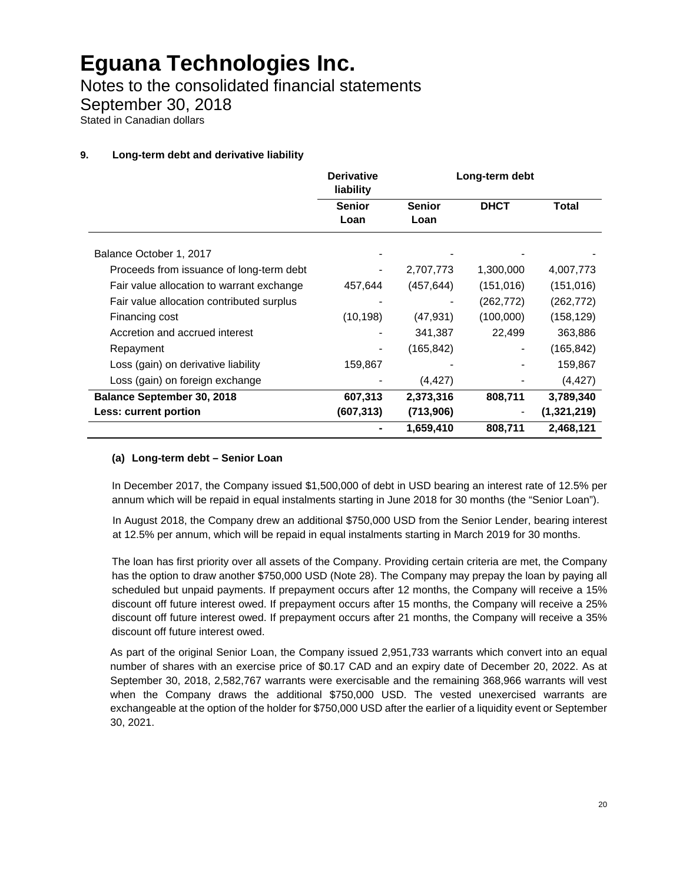Notes to the consolidated financial statements

September 30, 2018

Stated in Canadian dollars

### **9. Long-term debt and derivative liability**

|                                           | <b>Derivative</b><br>liability |               | Long-term debt |              |
|-------------------------------------------|--------------------------------|---------------|----------------|--------------|
|                                           | <b>Senior</b>                  | <b>Senior</b> | <b>DHCT</b>    | <b>Total</b> |
|                                           | Loan                           | Loan          |                |              |
| Balance October 1, 2017                   |                                |               |                |              |
| Proceeds from issuance of long-term debt  |                                | 2,707,773     | 1,300,000      | 4,007,773    |
| Fair value allocation to warrant exchange | 457,644                        | (457,644)     | (151, 016)     | (151, 016)   |
| Fair value allocation contributed surplus |                                |               | (262, 772)     | (262, 772)   |
| Financing cost                            | (10, 198)                      | (47, 931)     | (100,000)      | (158, 129)   |
| Accretion and accrued interest            |                                | 341,387       | 22,499         | 363,886      |
| Repayment                                 |                                | (165, 842)    |                | (165, 842)   |
| Loss (gain) on derivative liability       | 159,867                        |               |                | 159,867      |
| Loss (gain) on foreign exchange           |                                | (4, 427)      |                | (4, 427)     |
| <b>Balance September 30, 2018</b>         | 607,313                        | 2,373,316     | 808,711        | 3,789,340    |
| Less: current portion                     | (607, 313)                     | (713,906)     |                | (1,321,219)  |
|                                           |                                | 1,659,410     | 808,711        | 2,468,121    |

### **(a) Long-term debt – Senior Loan**

In December 2017, the Company issued \$1,500,000 of debt in USD bearing an interest rate of 12.5% per annum which will be repaid in equal instalments starting in June 2018 for 30 months (the "Senior Loan").

In August 2018, the Company drew an additional \$750,000 USD from the Senior Lender, bearing interest at 12.5% per annum, which will be repaid in equal instalments starting in March 2019 for 30 months.

The loan has first priority over all assets of the Company. Providing certain criteria are met, the Company has the option to draw another \$750,000 USD (Note 28). The Company may prepay the loan by paying all scheduled but unpaid payments. If prepayment occurs after 12 months, the Company will receive a 15% discount off future interest owed. If prepayment occurs after 15 months, the Company will receive a 25% discount off future interest owed. If prepayment occurs after 21 months, the Company will receive a 35% discount off future interest owed.

As part of the original Senior Loan, the Company issued 2,951,733 warrants which convert into an equal number of shares with an exercise price of \$0.17 CAD and an expiry date of December 20, 2022. As at September 30, 2018, 2,582,767 warrants were exercisable and the remaining 368,966 warrants will vest when the Company draws the additional \$750,000 USD. The vested unexercised warrants are exchangeable at the option of the holder for \$750,000 USD after the earlier of a liquidity event or September 30, 2021.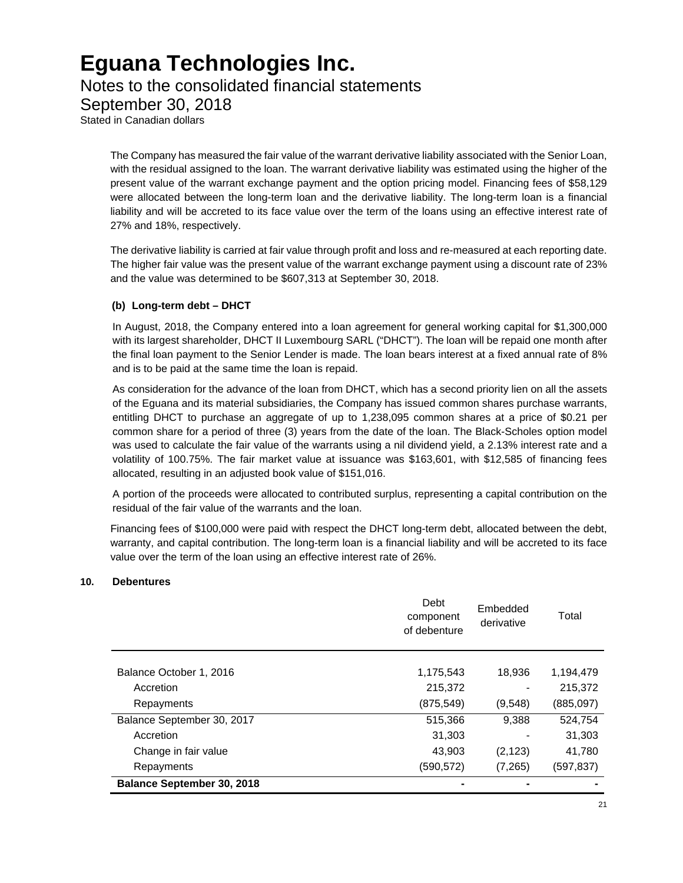### Notes to the consolidated financial statements

September 30, 2018

Stated in Canadian dollars

The Company has measured the fair value of the warrant derivative liability associated with the Senior Loan, with the residual assigned to the loan. The warrant derivative liability was estimated using the higher of the present value of the warrant exchange payment and the option pricing model. Financing fees of \$58,129 were allocated between the long-term loan and the derivative liability. The long-term loan is a financial liability and will be accreted to its face value over the term of the loans using an effective interest rate of 27% and 18%, respectively.

The derivative liability is carried at fair value through profit and loss and re-measured at each reporting date. The higher fair value was the present value of the warrant exchange payment using a discount rate of 23% and the value was determined to be \$607,313 at September 30, 2018.

### **(b) Long-term debt – DHCT**

In August, 2018, the Company entered into a loan agreement for general working capital for \$1,300,000 with its largest shareholder, DHCT II Luxembourg SARL ("DHCT"). The loan will be repaid one month after the final loan payment to the Senior Lender is made. The loan bears interest at a fixed annual rate of 8% and is to be paid at the same time the loan is repaid.

As consideration for the advance of the loan from DHCT, which has a second priority lien on all the assets of the Eguana and its material subsidiaries, the Company has issued common shares purchase warrants, entitling DHCT to purchase an aggregate of up to 1,238,095 common shares at a price of \$0.21 per common share for a period of three (3) years from the date of the loan. The Black-Scholes option model was used to calculate the fair value of the warrants using a nil dividend yield, a 2.13% interest rate and a volatility of 100.75%. The fair market value at issuance was \$163,601, with \$12,585 of financing fees allocated, resulting in an adjusted book value of \$151,016.

A portion of the proceeds were allocated to contributed surplus, representing a capital contribution on the residual of the fair value of the warrants and the loan.

Financing fees of \$100,000 were paid with respect the DHCT long-term debt, allocated between the debt, warranty, and capital contribution. The long-term loan is a financial liability and will be accreted to its face value over the term of the loan using an effective interest rate of 26%.

### **10. Debentures**

|                                   | Debt<br>component<br>of debenture | Embedded<br>derivative | Total      |
|-----------------------------------|-----------------------------------|------------------------|------------|
| Balance October 1, 2016           | 1,175,543                         | 18,936                 | 1,194,479  |
| Accretion                         | 215,372                           |                        | 215,372    |
| Repayments                        | (875, 549)                        | (9,548)                | (885,097)  |
| Balance September 30, 2017        | 515,366                           | 9,388                  | 524,754    |
| Accretion                         | 31,303                            |                        | 31,303     |
| Change in fair value              | 43,903                            | (2, 123)               | 41,780     |
| Repayments                        | (590, 572)                        | (7,265)                | (597, 837) |
| <b>Balance September 30, 2018</b> |                                   |                        |            |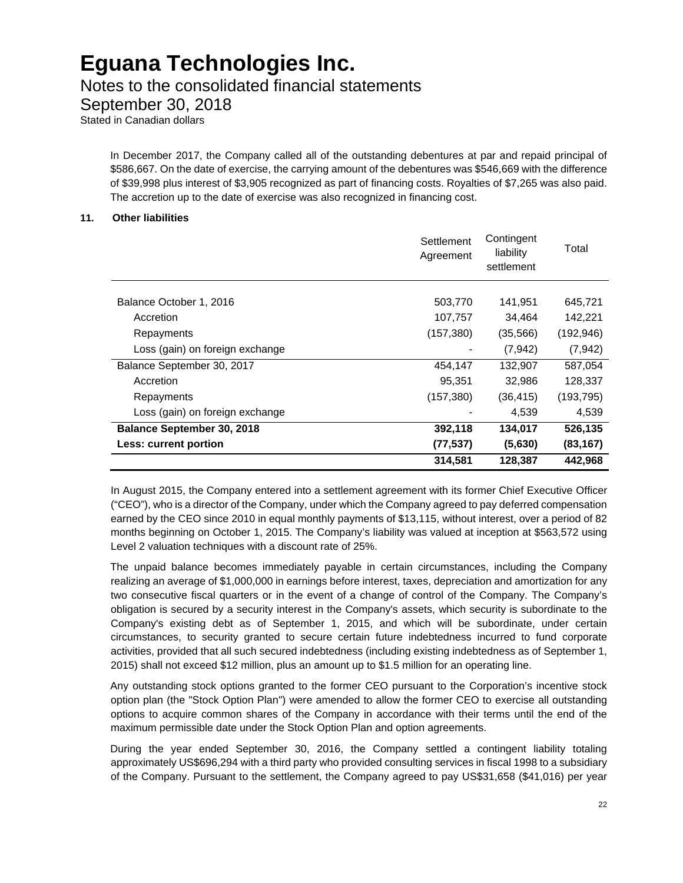### Notes to the consolidated financial statements

September 30, 2018

Stated in Canadian dollars

In December 2017, the Company called all of the outstanding debentures at par and repaid principal of \$586,667. On the date of exercise, the carrying amount of the debentures was \$546,669 with the difference of \$39,998 plus interest of \$3,905 recognized as part of financing costs. Royalties of \$7,265 was also paid. The accretion up to the date of exercise was also recognized in financing cost.

### **11. Other liabilities**

|                                   | Settlement<br>Agreement | Contingent<br>liability<br>settlement | Total      |
|-----------------------------------|-------------------------|---------------------------------------|------------|
| Balance October 1, 2016           | 503,770                 | 141,951                               | 645,721    |
| Accretion                         | 107,757                 | 34,464                                | 142,221    |
| Repayments                        | (157, 380)              | (35, 566)                             | (192, 946) |
| Loss (gain) on foreign exchange   |                         | (7, 942)                              | (7, 942)   |
| Balance September 30, 2017        | 454,147                 | 132,907                               | 587,054    |
| Accretion                         | 95,351                  | 32,986                                | 128,337    |
| Repayments                        | (157, 380)              | (36, 415)                             | (193, 795) |
| Loss (gain) on foreign exchange   |                         | 4,539                                 | 4,539      |
| <b>Balance September 30, 2018</b> | 392,118                 | 134,017                               | 526,135    |
| Less: current portion             | (77, 537)               | (5,630)                               | (83, 167)  |
|                                   | 314,581                 | 128,387                               | 442,968    |

In August 2015, the Company entered into a settlement agreement with its former Chief Executive Officer ("CEO"), who is a director of the Company, under which the Company agreed to pay deferred compensation earned by the CEO since 2010 in equal monthly payments of \$13,115, without interest, over a period of 82 months beginning on October 1, 2015. The Company's liability was valued at inception at \$563,572 using Level 2 valuation techniques with a discount rate of 25%.

The unpaid balance becomes immediately payable in certain circumstances, including the Company realizing an average of \$1,000,000 in earnings before interest, taxes, depreciation and amortization for any two consecutive fiscal quarters or in the event of a change of control of the Company. The Company's obligation is secured by a security interest in the Company's assets, which security is subordinate to the Company's existing debt as of September 1, 2015, and which will be subordinate, under certain circumstances, to security granted to secure certain future indebtedness incurred to fund corporate activities, provided that all such secured indebtedness (including existing indebtedness as of September 1, 2015) shall not exceed \$12 million, plus an amount up to \$1.5 million for an operating line.

Any outstanding stock options granted to the former CEO pursuant to the Corporation's incentive stock option plan (the "Stock Option Plan") were amended to allow the former CEO to exercise all outstanding options to acquire common shares of the Company in accordance with their terms until the end of the maximum permissible date under the Stock Option Plan and option agreements.

During the year ended September 30, 2016, the Company settled a contingent liability totaling approximately US\$696,294 with a third party who provided consulting services in fiscal 1998 to a subsidiary of the Company. Pursuant to the settlement, the Company agreed to pay US\$31,658 (\$41,016) per year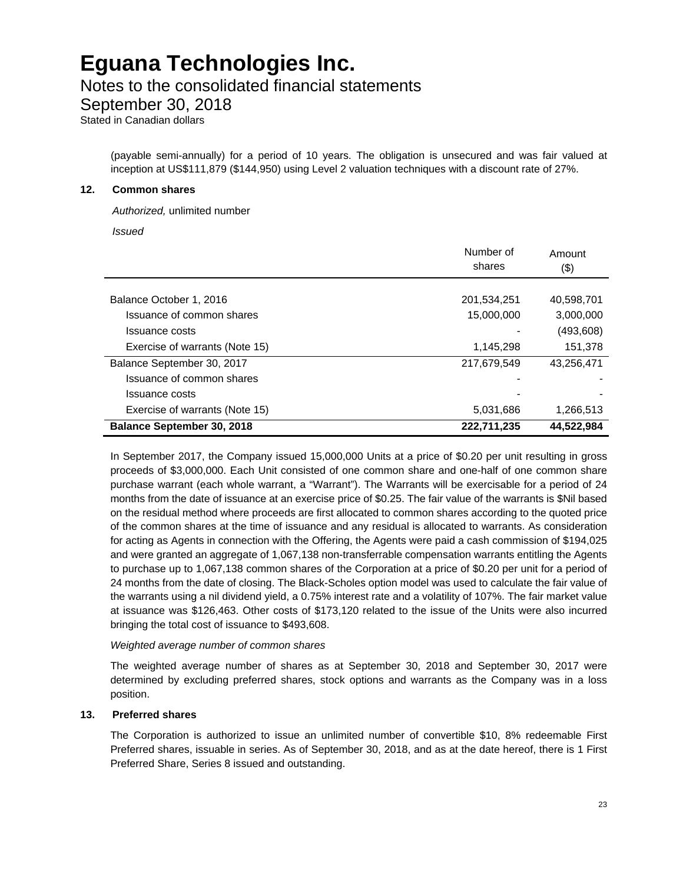### Notes to the consolidated financial statements

September 30, 2018

Stated in Canadian dollars

(payable semi-annually) for a period of 10 years. The obligation is unsecured and was fair valued at inception at US\$111,879 (\$144,950) using Level 2 valuation techniques with a discount rate of 27%.

#### **12. Common shares**

*Authorized,* unlimited number

*Issued*

|                                   | Number of<br>shares | Amount<br>$($ \$) |
|-----------------------------------|---------------------|-------------------|
|                                   |                     |                   |
| Balance October 1, 2016           | 201,534,251         | 40,598,701        |
| Issuance of common shares         | 15,000,000          | 3,000,000         |
| Issuance costs                    |                     | (493, 608)        |
| Exercise of warrants (Note 15)    | 1,145,298           | 151,378           |
| Balance September 30, 2017        | 217,679,549         | 43,256,471        |
| Issuance of common shares         |                     |                   |
| Issuance costs                    |                     |                   |
| Exercise of warrants (Note 15)    | 5,031,686           | 1,266,513         |
| <b>Balance September 30, 2018</b> | 222,711,235         | 44,522,984        |

In September 2017, the Company issued 15,000,000 Units at a price of \$0.20 per unit resulting in gross proceeds of \$3,000,000. Each Unit consisted of one common share and one-half of one common share purchase warrant (each whole warrant, a "Warrant"). The Warrants will be exercisable for a period of 24 months from the date of issuance at an exercise price of \$0.25. The fair value of the warrants is \$Nil based on the residual method where proceeds are first allocated to common shares according to the quoted price of the common shares at the time of issuance and any residual is allocated to warrants. As consideration for acting as Agents in connection with the Offering, the Agents were paid a cash commission of \$194,025 and were granted an aggregate of 1,067,138 non-transferrable compensation warrants entitling the Agents to purchase up to 1,067,138 common shares of the Corporation at a price of \$0.20 per unit for a period of 24 months from the date of closing. The Black-Scholes option model was used to calculate the fair value of the warrants using a nil dividend yield, a 0.75% interest rate and a volatility of 107%. The fair market value at issuance was \$126,463. Other costs of \$173,120 related to the issue of the Units were also incurred bringing the total cost of issuance to \$493,608.

#### *Weighted average number of common shares*

The weighted average number of shares as at September 30, 2018 and September 30, 2017 were determined by excluding preferred shares, stock options and warrants as the Company was in a loss position.

### **13. Preferred shares**

The Corporation is authorized to issue an unlimited number of convertible \$10, 8% redeemable First Preferred shares, issuable in series. As of September 30, 2018, and as at the date hereof, there is 1 First Preferred Share, Series 8 issued and outstanding.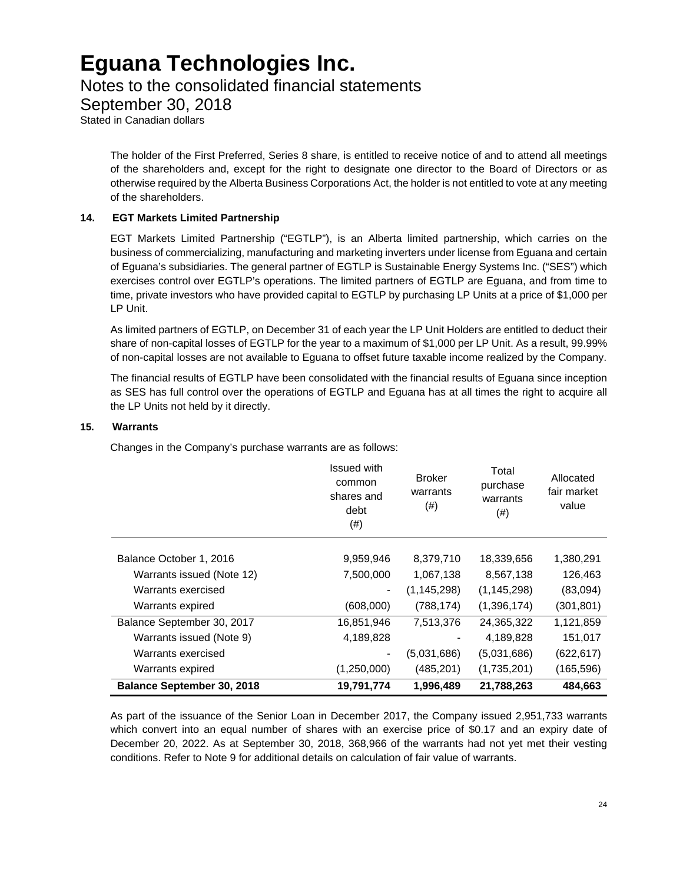### Notes to the consolidated financial statements

September 30, 2018

Stated in Canadian dollars

The holder of the First Preferred, Series 8 share, is entitled to receive notice of and to attend all meetings of the shareholders and, except for the right to designate one director to the Board of Directors or as otherwise required by the Alberta Business Corporations Act, the holder is not entitled to vote at any meeting of the shareholders.

### **14. EGT Markets Limited Partnership**

EGT Markets Limited Partnership ("EGTLP"), is an Alberta limited partnership, which carries on the business of commercializing, manufacturing and marketing inverters under license from Eguana and certain of Eguana's subsidiaries. The general partner of EGTLP is Sustainable Energy Systems Inc. ("SES") which exercises control over EGTLP's operations. The limited partners of EGTLP are Eguana, and from time to time, private investors who have provided capital to EGTLP by purchasing LP Units at a price of \$1,000 per LP Unit.

As limited partners of EGTLP, on December 31 of each year the LP Unit Holders are entitled to deduct their share of non-capital losses of EGTLP for the year to a maximum of \$1,000 per LP Unit. As a result, 99.99% of non-capital losses are not available to Eguana to offset future taxable income realized by the Company.

The financial results of EGTLP have been consolidated with the financial results of Eguana since inception as SES has full control over the operations of EGTLP and Eguana has at all times the right to acquire all the LP Units not held by it directly.

#### **15. Warrants**

Changes in the Company's purchase warrants are as follows:

|                                   | Issued with<br>common<br>shares and<br>debt<br>(# ) | <b>Broker</b><br>warrants<br>$(\#)$ | Total<br>purchase<br>warrants<br>(#) | Allocated<br>fair market<br>value |
|-----------------------------------|-----------------------------------------------------|-------------------------------------|--------------------------------------|-----------------------------------|
| Balance October 1, 2016           | 9,959,946                                           | 8,379,710                           | 18,339,656                           | 1,380,291                         |
|                                   |                                                     |                                     |                                      |                                   |
| Warrants issued (Note 12)         | 7,500,000                                           | 1,067,138                           | 8,567,138                            | 126,463                           |
| Warrants exercised                |                                                     | (1, 145, 298)                       | (1, 145, 298)                        | (83,094)                          |
| Warrants expired                  | (608,000)                                           | (788, 174)                          | (1,396,174)                          | (301, 801)                        |
| Balance September 30, 2017        | 16,851,946                                          | 7,513,376                           | 24,365,322                           | 1,121,859                         |
| Warrants issued (Note 9)          | 4,189,828                                           | $\blacksquare$                      | 4,189,828                            | 151,017                           |
| Warrants exercised                |                                                     | (5,031,686)                         | (5,031,686)                          | (622, 617)                        |
| Warrants expired                  | (1,250,000)                                         | (485, 201)                          | (1,735,201)                          | (165, 596)                        |
| <b>Balance September 30, 2018</b> | 19,791,774                                          | 1,996,489                           | 21,788,263                           | 484.663                           |

As part of the issuance of the Senior Loan in December 2017, the Company issued 2,951,733 warrants which convert into an equal number of shares with an exercise price of \$0.17 and an expiry date of December 20, 2022. As at September 30, 2018, 368,966 of the warrants had not yet met their vesting conditions. Refer to Note 9 for additional details on calculation of fair value of warrants.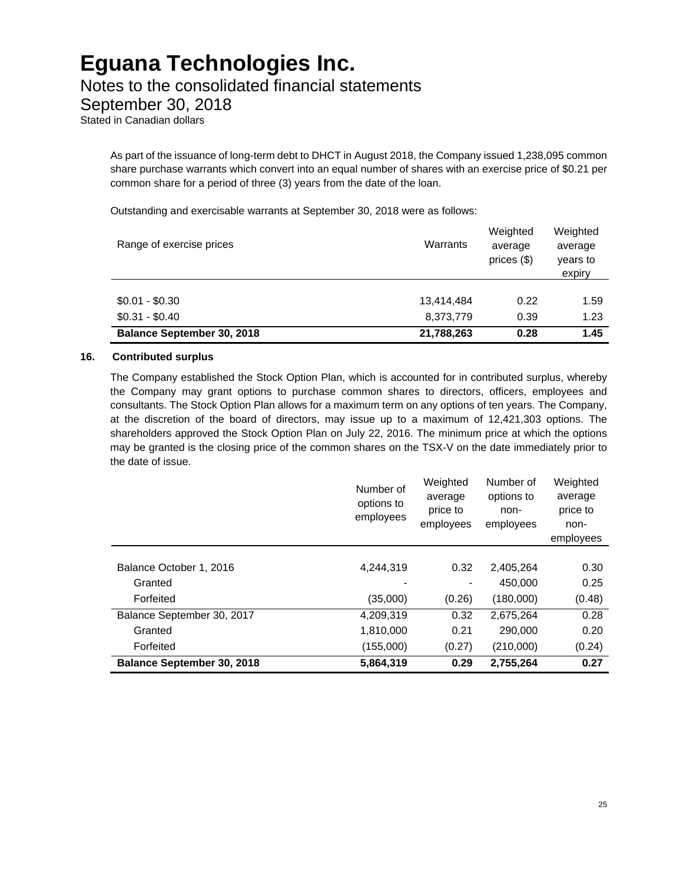### Notes to the consolidated financial statements

September 30, 2018

Stated in Canadian dollars

As part of the issuance of long-term debt to DHCT in August 2018, the Company issued 1,238,095 common share purchase warrants which convert into an equal number of shares with an exercise price of \$0.21 per common share for a period of three (3) years from the date of the loan.

Outstanding and exercisable warrants at September 30, 2018 were as follows:

| Range of exercise prices           | Warrants                | Weighted<br>average<br>prices $(\$)$ | Weighted<br>average<br>years to<br>expiry |
|------------------------------------|-------------------------|--------------------------------------|-------------------------------------------|
| $$0.01 - $0.30$<br>$$0.31 - $0.40$ | 13.414.484<br>8,373,779 | 0.22<br>0.39                         | 1.59<br>1.23                              |
| <b>Balance September 30, 2018</b>  | 21,788,263              | 0.28                                 | 1.45                                      |

#### **16. Contributed surplus**

The Company established the Stock Option Plan, which is accounted for in contributed surplus, whereby the Company may grant options to purchase common shares to directors, officers, employees and consultants. The Stock Option Plan allows for a maximum term on any options of ten years. The Company, at the discretion of the board of directors, may issue up to a maximum of 12,421,303 options. The shareholders approved the Stock Option Plan on July 22, 2016. The minimum price at which the options may be granted is the closing price of the common shares on the TSX-V on the date immediately prior to the date of issue.

|                                   | Number of<br>options to<br>employees | Weighted<br>average<br>price to<br>employees | Number of<br>options to<br>non-<br>employees | Weighted<br>average<br>price to<br>non-<br>employees |
|-----------------------------------|--------------------------------------|----------------------------------------------|----------------------------------------------|------------------------------------------------------|
|                                   |                                      |                                              |                                              |                                                      |
| Balance October 1, 2016           | 4,244,319                            | 0.32                                         | 2,405,264                                    | 0.30                                                 |
| Granted                           |                                      |                                              | 450,000                                      | 0.25                                                 |
| Forfeited                         | (35,000)                             | (0.26)                                       | (180,000)                                    | (0.48)                                               |
| Balance September 30, 2017        | 4.209.319                            | 0.32                                         | 2.675.264                                    | 0.28                                                 |
| Granted                           | 1,810,000                            | 0.21                                         | 290.000                                      | 0.20                                                 |
| Forfeited                         | (155,000)                            | (0.27)                                       | (210,000)                                    | (0.24)                                               |
| <b>Balance September 30, 2018</b> | 5,864,319                            | 0.29                                         | 2,755,264                                    | 0.27                                                 |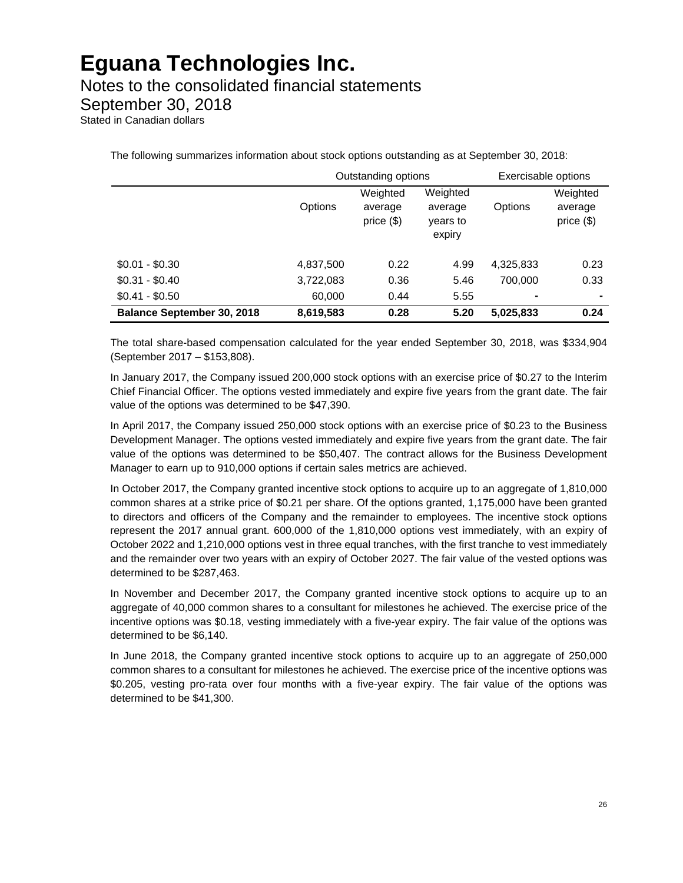### Notes to the consolidated financial statements

September 30, 2018

Stated in Canadian dollars

The following summarizes information about stock options outstanding as at September 30, 2018:

|                                   | Outstanding options |                                     | Exercisable options                       |           |                                      |
|-----------------------------------|---------------------|-------------------------------------|-------------------------------------------|-----------|--------------------------------------|
|                                   | Options             | Weighted<br>average<br>price $(\$)$ | Weighted<br>average<br>years to<br>expiry | Options   | Weighted<br>average<br>price $($ \$) |
| $$0.01 - $0.30$                   | 4,837,500           | 0.22                                | 4.99                                      | 4,325,833 | 0.23                                 |
| $$0.31 - $0.40$                   | 3,722,083           | 0.36                                | 5.46                                      | 700.000   | 0.33                                 |
| $$0.41 - $0.50$                   | 60,000              | 0.44                                | 5.55                                      | ۰         |                                      |
| <b>Balance September 30, 2018</b> | 8,619,583           | 0.28                                | 5.20                                      | 5,025,833 | 0.24                                 |

The total share-based compensation calculated for the year ended September 30, 2018, was \$334,904 (September 2017 – \$153,808).

In January 2017, the Company issued 200,000 stock options with an exercise price of \$0.27 to the Interim Chief Financial Officer. The options vested immediately and expire five years from the grant date. The fair value of the options was determined to be \$47,390.

In April 2017, the Company issued 250,000 stock options with an exercise price of \$0.23 to the Business Development Manager. The options vested immediately and expire five years from the grant date. The fair value of the options was determined to be \$50,407. The contract allows for the Business Development Manager to earn up to 910,000 options if certain sales metrics are achieved.

In October 2017, the Company granted incentive stock options to acquire up to an aggregate of 1,810,000 common shares at a strike price of \$0.21 per share. Of the options granted, 1,175,000 have been granted to directors and officers of the Company and the remainder to employees. The incentive stock options represent the 2017 annual grant. 600,000 of the 1,810,000 options vest immediately, with an expiry of October 2022 and 1,210,000 options vest in three equal tranches, with the first tranche to vest immediately and the remainder over two years with an expiry of October 2027. The fair value of the vested options was determined to be \$287,463.

In November and December 2017, the Company granted incentive stock options to acquire up to an aggregate of 40,000 common shares to a consultant for milestones he achieved. The exercise price of the incentive options was \$0.18, vesting immediately with a five-year expiry. The fair value of the options was determined to be \$6,140.

In June 2018, the Company granted incentive stock options to acquire up to an aggregate of 250,000 common shares to a consultant for milestones he achieved. The exercise price of the incentive options was \$0.205, vesting pro-rata over four months with a five-year expiry. The fair value of the options was determined to be \$41,300.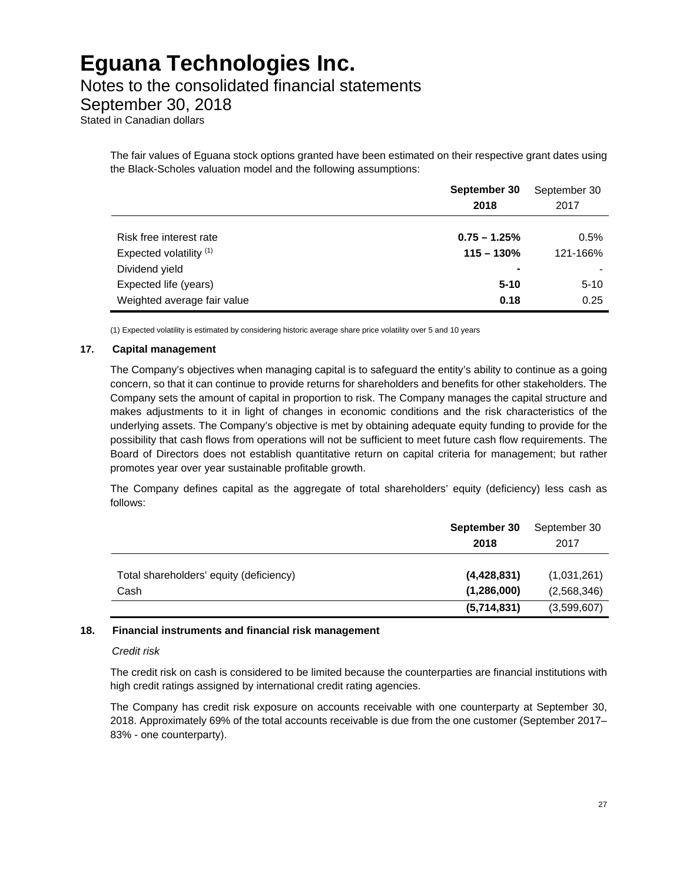### Notes to the consolidated financial statements

September 30, 2018

Stated in Canadian dollars

The fair values of Eguana stock options granted have been estimated on their respective grant dates using the Black-Scholes valuation model and the following assumptions:

|                             | September 30<br>September 30 |          |
|-----------------------------|------------------------------|----------|
|                             | 2018                         | 2017     |
|                             |                              |          |
| Risk free interest rate     | $0.75 - 1.25%$               | 0.5%     |
| Expected volatility (1)     | $115 - 130%$                 | 121-166% |
| Dividend yield              | ۰                            |          |
| Expected life (years)       | $5-10$                       | $5 - 10$ |
| Weighted average fair value | 0.18                         | 0.25     |

(1) Expected volatility is estimated by considering historic average share price volatility over 5 and 10 years

#### **17. Capital management**

The Company's objectives when managing capital is to safeguard the entity's ability to continue as a going concern, so that it can continue to provide returns for shareholders and benefits for other stakeholders. The Company sets the amount of capital in proportion to risk. The Company manages the capital structure and makes adjustments to it in light of changes in economic conditions and the risk characteristics of the underlying assets. The Company's objective is met by obtaining adequate equity funding to provide for the possibility that cash flows from operations will not be sufficient to meet future cash flow requirements. The Board of Directors does not establish quantitative return on capital criteria for management; but rather promotes year over year sustainable profitable growth.

The Company defines capital as the aggregate of total shareholders' equity (deficiency) less cash as follows:

|                                         | September 30 | September 30 |
|-----------------------------------------|--------------|--------------|
|                                         | 2018         | 2017         |
|                                         |              |              |
| Total shareholders' equity (deficiency) | (4,428,831)  | (1,031,261)  |
| Cash                                    | (1,286,000)  | (2,568,346)  |
|                                         | (5,714,831)  | (3,599,607)  |

#### **18. Financial instruments and financial risk management**

#### *Credit risk*

The credit risk on cash is considered to be limited because the counterparties are financial institutions with high credit ratings assigned by international credit rating agencies.

The Company has credit risk exposure on accounts receivable with one counterparty at September 30, 2018. Approximately 69% of the total accounts receivable is due from the one customer (September 2017– 83% - one counterparty).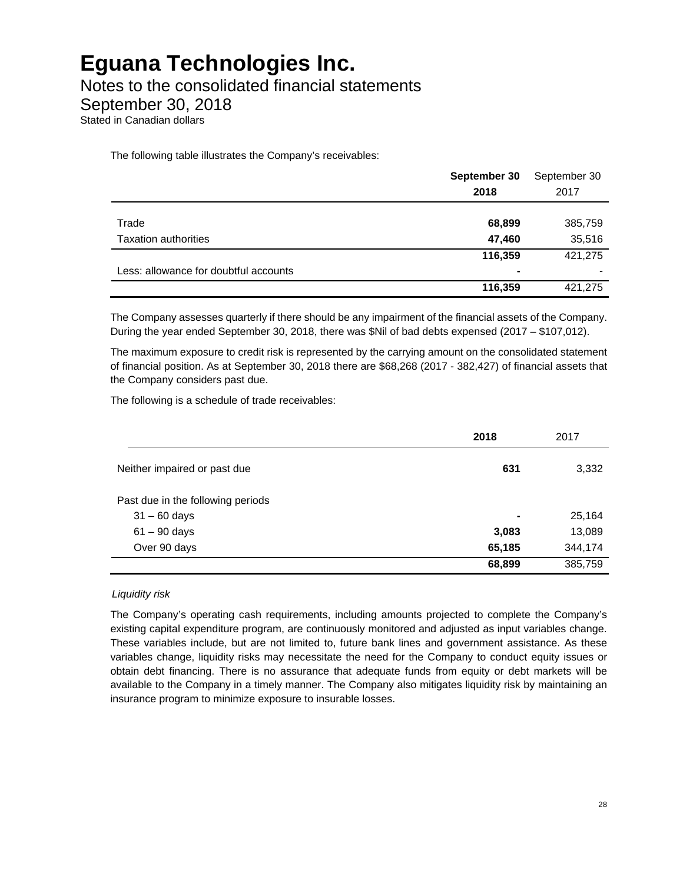Notes to the consolidated financial statements

September 30, 2018

Stated in Canadian dollars

The following table illustrates the Company's receivables:

|                                       | September 30 | September 30 |
|---------------------------------------|--------------|--------------|
|                                       | 2018         | 2017         |
|                                       |              |              |
| Trade                                 | 68,899       | 385,759      |
| <b>Taxation authorities</b>           | 47,460       | 35,516       |
|                                       | 116,359      | 421,275      |
| Less: allowance for doubtful accounts | ۰            |              |
|                                       | 116,359      | 421,275      |

The Company assesses quarterly if there should be any impairment of the financial assets of the Company. During the year ended September 30, 2018, there was \$Nil of bad debts expensed (2017 – \$107,012).

The maximum exposure to credit risk is represented by the carrying amount on the consolidated statement of financial position. As at September 30, 2018 there are \$68,268 (2017 - 382,427) of financial assets that the Company considers past due.

The following is a schedule of trade receivables:

|                                   | 2018   | 2017    |
|-----------------------------------|--------|---------|
| Neither impaired or past due      | 631    | 3,332   |
| Past due in the following periods |        |         |
| $31 - 60$ days                    |        | 25,164  |
| $61 - 90$ days                    | 3,083  | 13,089  |
| Over 90 days                      | 65,185 | 344,174 |
|                                   | 68,899 | 385,759 |

#### *Liquidity risk*

The Company's operating cash requirements, including amounts projected to complete the Company's existing capital expenditure program, are continuously monitored and adjusted as input variables change. These variables include, but are not limited to, future bank lines and government assistance. As these variables change, liquidity risks may necessitate the need for the Company to conduct equity issues or obtain debt financing. There is no assurance that adequate funds from equity or debt markets will be available to the Company in a timely manner. The Company also mitigates liquidity risk by maintaining an insurance program to minimize exposure to insurable losses.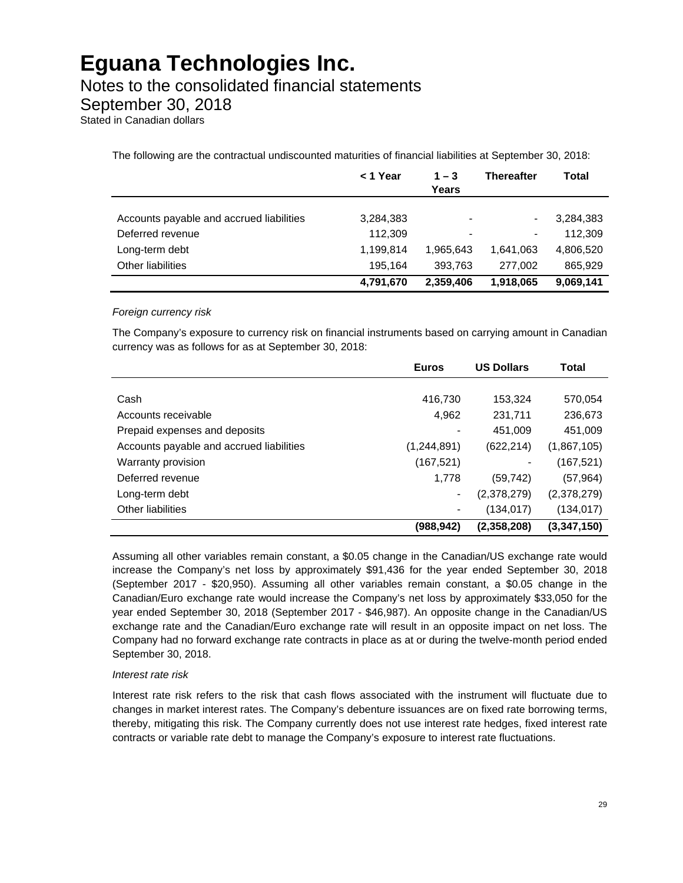### Notes to the consolidated financial statements

September 30, 2018

Stated in Canadian dollars

The following are the contractual undiscounted maturities of financial liabilities at September 30, 2018:

|                                          | < 1 Year  | $1 - 3$<br>Years | <b>Thereafter</b>        | Total     |
|------------------------------------------|-----------|------------------|--------------------------|-----------|
|                                          |           |                  |                          |           |
| Accounts payable and accrued liabilities | 3,284,383 | $\blacksquare$   | $\blacksquare$           | 3,284,383 |
| Deferred revenue                         | 112.309   |                  | $\overline{\phantom{a}}$ | 112,309   |
| Long-term debt                           | 1,199,814 | 1,965,643        | 1.641.063                | 4,806,520 |
| Other liabilities                        | 195.164   | 393.763          | 277.002                  | 865,929   |
|                                          | 4,791,670 | 2,359,406        | 1,918,065                | 9,069,141 |

#### *Foreign currency risk*

The Company's exposure to currency risk on financial instruments based on carrying amount in Canadian currency was as follows for as at September 30, 2018:

|                                          | <b>Euros</b>   | <b>US Dollars</b> | Total       |
|------------------------------------------|----------------|-------------------|-------------|
|                                          |                |                   |             |
| Cash                                     | 416,730        | 153.324           | 570,054     |
| Accounts receivable                      | 4,962          | 231,711           | 236,673     |
| Prepaid expenses and deposits            |                | 451,009           | 451,009     |
| Accounts payable and accrued liabilities | (1, 244, 891)  | (622, 214)        | (1,867,105) |
| Warranty provision                       | (167, 521)     |                   | (167,521)   |
| Deferred revenue                         | 1.778          | (59,742)          | (57, 964)   |
| Long-term debt                           | $\blacksquare$ | (2,378,279)       | (2,378,279) |
| Other liabilities                        | $\blacksquare$ | (134, 017)        | (134, 017)  |
|                                          | (988,942)      | (2,358,208)       | (3,347,150) |

Assuming all other variables remain constant, a \$0.05 change in the Canadian/US exchange rate would increase the Company's net loss by approximately \$91,436 for the year ended September 30, 2018 (September 2017 - \$20,950). Assuming all other variables remain constant, a \$0.05 change in the Canadian/Euro exchange rate would increase the Company's net loss by approximately \$33,050 for the year ended September 30, 2018 (September 2017 - \$46,987). An opposite change in the Canadian/US exchange rate and the Canadian/Euro exchange rate will result in an opposite impact on net loss. The Company had no forward exchange rate contracts in place as at or during the twelve-month period ended September 30, 2018.

### *Interest rate risk*

Interest rate risk refers to the risk that cash flows associated with the instrument will fluctuate due to changes in market interest rates. The Company's debenture issuances are on fixed rate borrowing terms, thereby, mitigating this risk. The Company currently does not use interest rate hedges, fixed interest rate contracts or variable rate debt to manage the Company's exposure to interest rate fluctuations.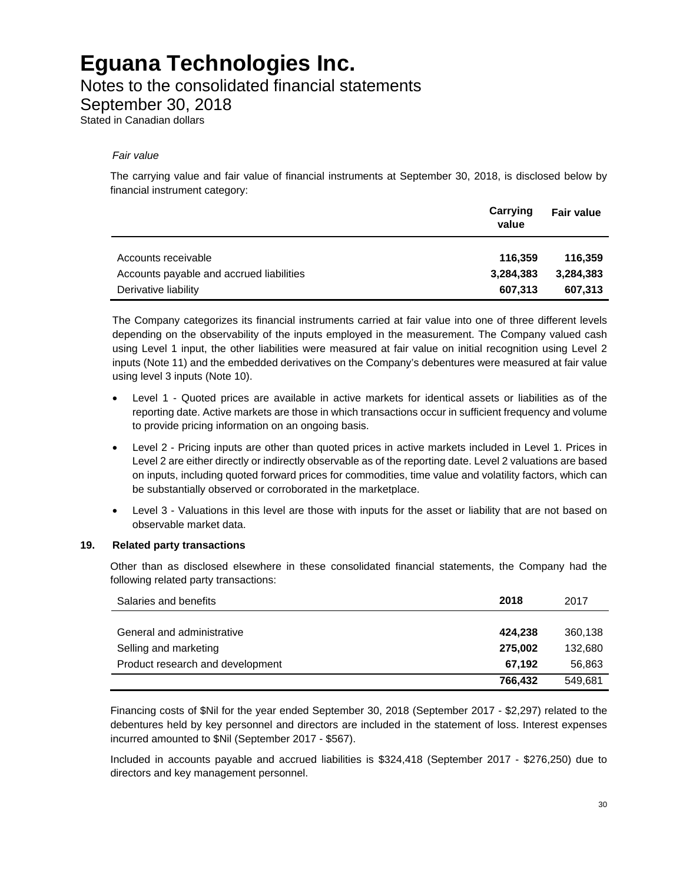### Notes to the consolidated financial statements

September 30, 2018

Stated in Canadian dollars

#### *Fair value*

The carrying value and fair value of financial instruments at September 30, 2018, is disclosed below by financial instrument category:

|                                          | Carrying<br>value | <b>Fair value</b> |
|------------------------------------------|-------------------|-------------------|
| Accounts receivable                      | 116.359           | 116.359           |
| Accounts payable and accrued liabilities | 3,284,383         | 3,284,383         |
| Derivative liability                     | 607,313           | 607,313           |

The Company categorizes its financial instruments carried at fair value into one of three different levels depending on the observability of the inputs employed in the measurement. The Company valued cash using Level 1 input, the other liabilities were measured at fair value on initial recognition using Level 2 inputs (Note 11) and the embedded derivatives on the Company's debentures were measured at fair value using level 3 inputs (Note 10).

- Level 1 Quoted prices are available in active markets for identical assets or liabilities as of the reporting date. Active markets are those in which transactions occur in sufficient frequency and volume to provide pricing information on an ongoing basis.
- Level 2 Pricing inputs are other than quoted prices in active markets included in Level 1. Prices in Level 2 are either directly or indirectly observable as of the reporting date. Level 2 valuations are based on inputs, including quoted forward prices for commodities, time value and volatility factors, which can be substantially observed or corroborated in the marketplace.
- Level 3 Valuations in this level are those with inputs for the asset or liability that are not based on observable market data.

#### **19. Related party transactions**

Other than as disclosed elsewhere in these consolidated financial statements, the Company had the following related party transactions:

| Salaries and benefits            | 2018    | 2017    |
|----------------------------------|---------|---------|
|                                  |         |         |
| General and administrative       | 424,238 | 360,138 |
| Selling and marketing            | 275,002 | 132.680 |
| Product research and development | 67.192  | 56.863  |
|                                  | 766,432 | 549.681 |

Financing costs of \$Nil for the year ended September 30, 2018 (September 2017 - \$2,297) related to the debentures held by key personnel and directors are included in the statement of loss. Interest expenses incurred amounted to \$Nil (September 2017 - \$567).

Included in accounts payable and accrued liabilities is \$324,418 (September 2017 - \$276,250) due to directors and key management personnel.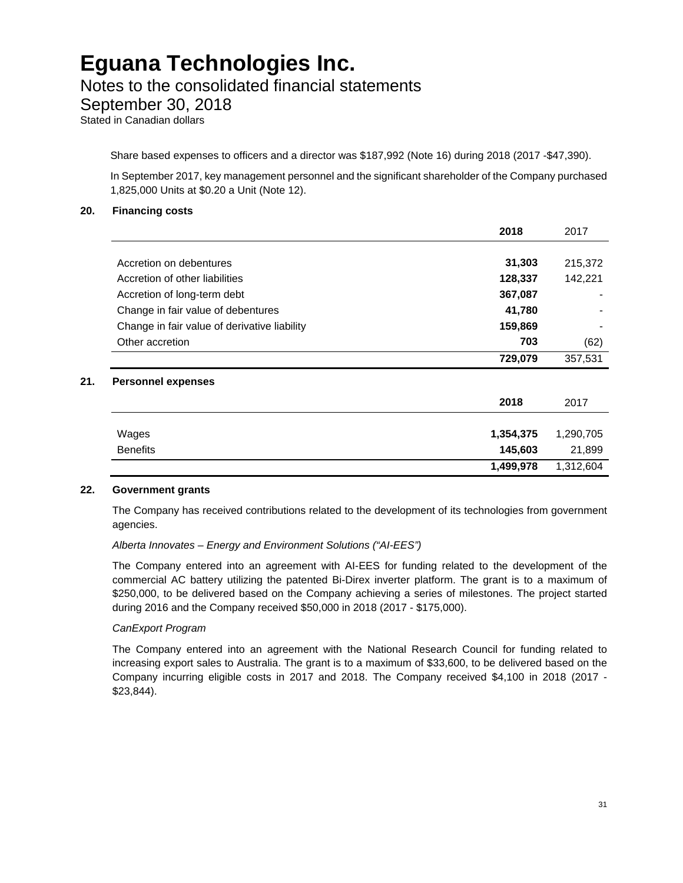### Notes to the consolidated financial statements

September 30, 2018

Stated in Canadian dollars

Share based expenses to officers and a director was \$187,992 (Note 16) during 2018 (2017 -\$47,390).

In September 2017, key management personnel and the significant shareholder of the Company purchased 1,825,000 Units at \$0.20 a Unit (Note 12).

#### **20. Financing costs**

|                                              | 2018    | 2017    |
|----------------------------------------------|---------|---------|
|                                              |         |         |
| Accretion on debentures                      | 31,303  | 215,372 |
| Accretion of other liabilities               | 128,337 | 142,221 |
| Accretion of long-term debt                  | 367,087 |         |
| Change in fair value of debentures           | 41,780  |         |
| Change in fair value of derivative liability | 159,869 |         |
| Other accretion                              | 703     | (62)    |
|                                              | 729,079 | 357,531 |

|                 | 2018      | 2017      |
|-----------------|-----------|-----------|
|                 |           |           |
| Wages           | 1,354,375 | 1,290,705 |
| <b>Benefits</b> | 145,603   | 21,899    |
|                 | 1,499,978 | 1,312,604 |

#### **22. Government grants**

**21.** 

The Company has received contributions related to the development of its technologies from government agencies.

#### *Alberta Innovates – Energy and Environment Solutions ("AI-EES")*

The Company entered into an agreement with AI-EES for funding related to the development of the commercial AC battery utilizing the patented Bi-Direx inverter platform. The grant is to a maximum of \$250,000, to be delivered based on the Company achieving a series of milestones. The project started during 2016 and the Company received \$50,000 in 2018 (2017 - \$175,000).

#### *CanExport Program*

The Company entered into an agreement with the National Research Council for funding related to increasing export sales to Australia. The grant is to a maximum of \$33,600, to be delivered based on the Company incurring eligible costs in 2017 and 2018. The Company received \$4,100 in 2018 (2017 - \$23,844).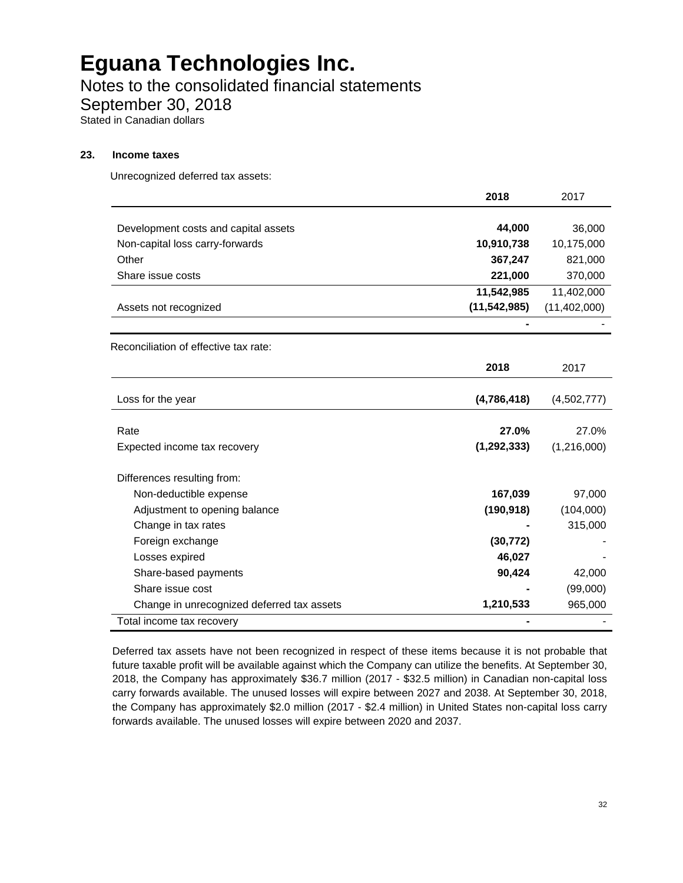Notes to the consolidated financial statements

September 30, 2018

Stated in Canadian dollars

#### **23. Income taxes**

Unrecognized deferred tax assets:

|                                            | 2018           | 2017           |
|--------------------------------------------|----------------|----------------|
| Development costs and capital assets       | 44,000         | 36,000         |
| Non-capital loss carry-forwards            | 10,910,738     | 10,175,000     |
| Other                                      | 367,247        | 821,000        |
| Share issue costs                          | 221,000        | 370,000        |
|                                            | 11,542,985     | 11,402,000     |
| Assets not recognized                      | (11, 542, 985) | (11, 402, 000) |
|                                            |                |                |
| Reconciliation of effective tax rate:      |                |                |
|                                            | 2018           | 2017           |
| Loss for the year                          | (4,786,418)    | (4,502,777)    |
| Rate                                       | 27.0%          | 27.0%          |
| Expected income tax recovery               | (1, 292, 333)  | (1,216,000)    |
| Differences resulting from:                |                |                |
| Non-deductible expense                     | 167,039        | 97,000         |
| Adjustment to opening balance              | (190, 918)     | (104,000)      |
| Change in tax rates                        |                | 315,000        |
| Foreign exchange                           | (30, 772)      |                |
| Losses expired                             | 46,027         |                |
| Share-based payments                       | 90,424         | 42,000         |
| Share issue cost                           |                | (99,000)       |
| Change in unrecognized deferred tax assets | 1,210,533      | 965,000        |
| Total income tax recovery                  |                |                |

Deferred tax assets have not been recognized in respect of these items because it is not probable that future taxable profit will be available against which the Company can utilize the benefits. At September 30, 2018, the Company has approximately \$36.7 million (2017 - \$32.5 million) in Canadian non-capital loss carry forwards available. The unused losses will expire between 2027 and 2038. At September 30, 2018, the Company has approximately \$2.0 million (2017 - \$2.4 million) in United States non-capital loss carry forwards available. The unused losses will expire between 2020 and 2037.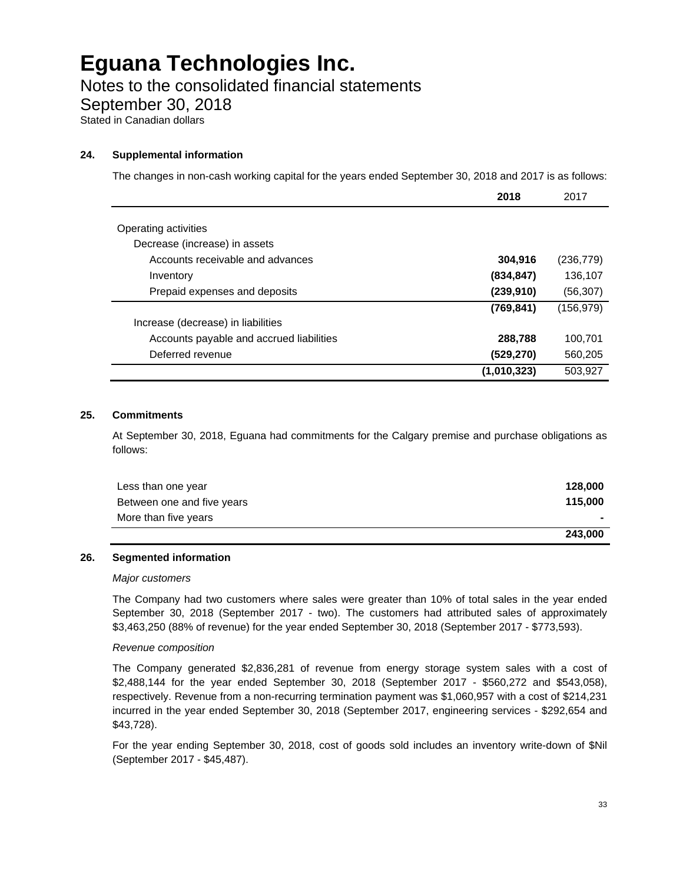### Notes to the consolidated financial statements

September 30, 2018

Stated in Canadian dollars

#### **24. Supplemental information**

The changes in non-cash working capital for the years ended September 30, 2018 and 2017 is as follows:

|                                          | 2018        | 2017       |
|------------------------------------------|-------------|------------|
|                                          |             |            |
| Operating activities                     |             |            |
| Decrease (increase) in assets            |             |            |
| Accounts receivable and advances         | 304,916     | (236, 779) |
| Inventory                                | (834, 847)  | 136,107    |
| Prepaid expenses and deposits            | (239, 910)  | (56, 307)  |
|                                          | (769, 841)  | (156.979)  |
| Increase (decrease) in liabilities       |             |            |
| Accounts payable and accrued liabilities | 288,788     | 100.701    |
| Deferred revenue                         | (529, 270)  | 560,205    |
|                                          | (1,010,323) | 503,927    |

#### **25. Commitments**

At September 30, 2018, Eguana had commitments for the Calgary premise and purchase obligations as follows:

| Less than one year         | 128,000 |
|----------------------------|---------|
| Between one and five years | 115.000 |
| More than five years       |         |
|                            | 243,000 |

#### **26. Segmented information**

#### *Major customers*

The Company had two customers where sales were greater than 10% of total sales in the year ended September 30, 2018 (September 2017 - two). The customers had attributed sales of approximately \$3,463,250 (88% of revenue) for the year ended September 30, 2018 (September 2017 - \$773,593).

#### *Revenue composition*

The Company generated \$2,836,281 of revenue from energy storage system sales with a cost of \$2,488,144 for the year ended September 30, 2018 (September 2017 - \$560,272 and \$543,058), respectively. Revenue from a non-recurring termination payment was \$1,060,957 with a cost of \$214,231 incurred in the year ended September 30, 2018 (September 2017, engineering services - \$292,654 and \$43,728).

For the year ending September 30, 2018, cost of goods sold includes an inventory write-down of \$Nil (September 2017 - \$45,487).